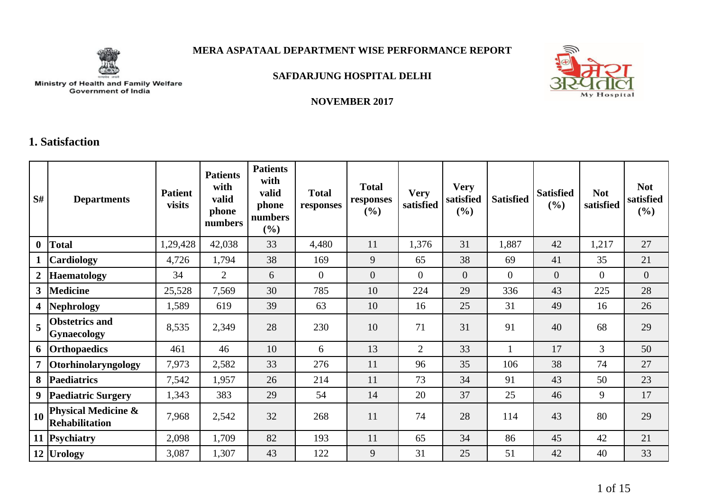

## **MERA ASPATAAL DEPARTMENT WISE PERFORMANCE REPORT**



#### **SAFDARJUNG HOSPITAL DELHI**



**NOVEMBER 2017**

## **1. Satisfaction**

| S#             | <b>Departments</b>                                      | <b>Patient</b><br>visits | <b>Patients</b><br>with<br>valid<br>phone<br>numbers | <b>Patients</b><br>with<br>valid<br>phone<br>numbers<br>(%) | <b>Total</b><br>responses | <b>Total</b><br>responses<br>$(\%)$ | <b>Very</b><br>satisfied | <b>Very</b><br>satisfied<br>(%) | <b>Satisfied</b> | <b>Satisfied</b><br>$(\%)$ | <b>Not</b><br>satisfied | <b>Not</b><br>satisfied<br>(%) |
|----------------|---------------------------------------------------------|--------------------------|------------------------------------------------------|-------------------------------------------------------------|---------------------------|-------------------------------------|--------------------------|---------------------------------|------------------|----------------------------|-------------------------|--------------------------------|
| $\mathbf{0}$   | <b>Total</b>                                            | 1,29,428                 | 42,038                                               | 33                                                          | 4,480                     | 11                                  | 1,376                    | 31                              | 1,887            | 42                         | 1,217                   | 27                             |
|                | Cardiology                                              | 4,726                    | 1,794                                                | 38                                                          | 169                       | 9                                   | 65                       | 38                              | 69               | 41                         | 35                      | 21                             |
| $\overline{2}$ | <b>Haematology</b>                                      | 34                       | $\overline{2}$                                       | 6                                                           | $\overline{0}$            | $\overline{0}$                      | $\overline{0}$           | $\overline{0}$                  | $\overline{0}$   | $\theta$                   | $\overline{0}$          | $\overline{0}$                 |
| 3 <sup>7</sup> | <b>Medicine</b>                                         | 25,528                   | 7,569                                                | 30                                                          | 785                       | 10                                  | 224                      | 29                              | 336              | 43                         | 225                     | 28                             |
| 4              | Nephrology                                              | 1,589                    | 619                                                  | 39                                                          | 63                        | 10                                  | 16                       | 25                              | 31               | 49                         | 16                      | 26                             |
| 5              | <b>Obstetrics and</b><br>Gynaecology                    | 8,535                    | 2,349                                                | 28                                                          | 230                       | 10                                  | 71                       | 31                              | 91               | 40                         | 68                      | 29                             |
|                | 6 Orthopaedics                                          | 461                      | 46                                                   | 10                                                          | 6                         | 13                                  | $\overline{2}$           | 33                              |                  | 17                         | 3                       | 50                             |
| 7              | Otorhinolaryngology                                     | 7,973                    | 2,582                                                | 33                                                          | 276                       | 11                                  | 96                       | 35                              | 106              | 38                         | 74                      | 27                             |
| 8              | <b>Paediatrics</b>                                      | 7,542                    | 1,957                                                | 26                                                          | 214                       | 11                                  | 73                       | 34                              | 91               | 43                         | 50                      | 23                             |
|                | 9 Paediatric Surgery                                    | 1,343                    | 383                                                  | 29                                                          | 54                        | 14                                  | 20                       | 37                              | 25               | 46                         | 9                       | 17                             |
| <b>10</b>      | <b>Physical Medicine &amp;</b><br><b>Rehabilitation</b> | 7,968                    | 2,542                                                | 32                                                          | 268                       | 11                                  | 74                       | 28                              | 114              | 43                         | 80                      | 29                             |
|                | 11 Psychiatry                                           | 2,098                    | 1,709                                                | 82                                                          | 193                       | 11                                  | 65                       | 34                              | 86               | 45                         | 42                      | 21                             |
|                | 12 Urology                                              | 3,087                    | 1,307                                                | 43                                                          | 122                       | 9                                   | 31                       | 25                              | 51               | 42                         | 40                      | 33                             |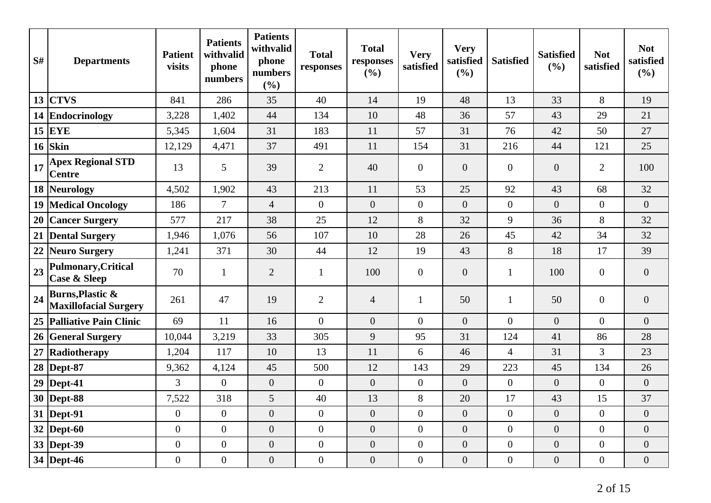| S# | <b>Departments</b>                                          | <b>Patient</b><br>visits | <b>Patients</b><br>withvalid<br>phone<br>numbers | <b>Patients</b><br>withvalid<br>phone<br>numbers<br>(%) | <b>Total</b><br>responses | <b>Total</b><br>responses<br>(%) | <b>Very</b><br>satisfied | <b>Very</b><br>satisfied<br>(%) | <b>Satisfied</b> | <b>Satisfied</b><br>(%) | <b>Not</b><br>satisfied | <b>Not</b><br>satisfied<br>(%) |
|----|-------------------------------------------------------------|--------------------------|--------------------------------------------------|---------------------------------------------------------|---------------------------|----------------------------------|--------------------------|---------------------------------|------------------|-------------------------|-------------------------|--------------------------------|
|    | $13$ CTVS                                                   | 841                      | 286                                              | 35                                                      | 40                        | 14                               | 19                       | 48                              | 13               | 33                      | 8                       | 19                             |
|    | 14 Endocrinology                                            | 3,228                    | 1,402                                            | 44                                                      | 134                       | 10                               | 48                       | 36                              | 57               | 43                      | 29                      | 21                             |
|    | $15$ EYE                                                    | 5,345                    | 1,604                                            | 31                                                      | 183                       | 11                               | 57                       | 31                              | 76               | 42                      | 50                      | 27                             |
| 16 | Skin                                                        | 12,129                   | 4,471                                            | 37                                                      | 491                       | 11                               | 154                      | 31                              | 216              | 44                      | 121                     | 25                             |
| 17 | <b>Apex Regional STD</b><br><b>Centre</b>                   | 13                       | 5                                                | 39                                                      | $\overline{2}$            | 40                               | $\boldsymbol{0}$         | $\overline{0}$                  | $\overline{0}$   | $\overline{0}$          | 2                       | 100                            |
|    | 18 Neurology                                                | 4,502                    | 1,902                                            | 43                                                      | 213                       | 11                               | 53                       | 25                              | 92               | 43                      | 68                      | 32                             |
|    | 19   Medical Oncology                                       | 186                      | $\overline{7}$                                   | $\overline{4}$                                          | $\overline{0}$            | $\overline{0}$                   | $\overline{0}$           | $\overline{0}$                  | $\overline{0}$   | $\overline{0}$          | $\overline{0}$          | $\overline{0}$                 |
| 20 | <b>Cancer Surgery</b>                                       | 577                      | 217                                              | 38                                                      | 25                        | 12                               | 8                        | 32                              | 9                | 36                      | 8                       | 32                             |
|    | 21 Dental Surgery                                           | 1,946                    | 1,076                                            | 56                                                      | 107                       | 10                               | 28                       | 26                              | 45               | 42                      | 34                      | 32                             |
| 22 | Neuro Surgery                                               | 1,241                    | 371                                              | 30                                                      | 44                        | 12                               | 19                       | 43                              | 8                | 18                      | 17                      | 39                             |
| 23 | <b>Pulmonary, Critical</b><br><b>Case &amp; Sleep</b>       | 70                       | $\mathbf{1}$                                     | $\overline{2}$                                          | $\mathbf{1}$              | 100                              | $\overline{0}$           | $\overline{0}$                  | 1                | 100                     | $\mathbf{0}$            | $\overline{0}$                 |
| 24 | <b>Burns, Plastic &amp;</b><br><b>Maxillofacial Surgery</b> | 261                      | 47                                               | 19                                                      | $\overline{2}$            | $\overline{4}$                   | $\mathbf{1}$             | 50                              | 1                | 50                      | $\mathbf{0}$            | $\overline{0}$                 |
|    | 25 Palliative Pain Clinic                                   | 69                       | 11                                               | 16                                                      | $\overline{0}$            | $\overline{0}$                   | $\theta$                 | $\Omega$                        | $\overline{0}$   | $\Omega$                | $\Omega$                | $\overline{0}$                 |
|    | 26 General Surgery                                          | 10,044                   | 3,219                                            | 33                                                      | 305                       | 9                                | 95                       | 31                              | 124              | 41                      | 86                      | 28                             |
| 27 | Radiotherapy                                                | 1,204                    | 117                                              | 10                                                      | 13                        | 11                               | 6                        | 46                              | $\overline{4}$   | 31                      | $\overline{3}$          | 23                             |
|    | 28   Dept-87                                                | 9,362                    | 4,124                                            | 45                                                      | 500                       | 12                               | 143                      | 29                              | 223              | 45                      | 134                     | 26                             |
|    | 29   Dept-41                                                | 3                        | $\overline{0}$                                   | $\boldsymbol{0}$                                        | $\overline{0}$            | $\overline{0}$                   | $\overline{0}$           | $\overline{0}$                  | $\boldsymbol{0}$ | $\overline{0}$          | $\overline{0}$          | $\overline{0}$                 |
|    | 30   Dept-88                                                | 7,522                    | 318                                              | 5                                                       | 40                        | 13                               | 8                        | 20                              | 17               | 43                      | 15                      | 37                             |
|    | 31  Dept-91                                                 | $\boldsymbol{0}$         | $\boldsymbol{0}$                                 | $\boldsymbol{0}$                                        | $\overline{0}$            | $\boldsymbol{0}$                 | $\boldsymbol{0}$         | $\overline{0}$                  | $\boldsymbol{0}$ | $\boldsymbol{0}$        | $\overline{0}$          | $\overline{0}$                 |
|    | $32$ Dept-60                                                | $\mathbf{0}$             | $\overline{0}$                                   | $\boldsymbol{0}$                                        | $\boldsymbol{0}$          | $\boldsymbol{0}$                 | $\overline{0}$           | $\overline{0}$                  | $\boldsymbol{0}$ | $\overline{0}$          | $\overline{0}$          | $\overline{0}$                 |
|    | 33 Dept-39                                                  | $\boldsymbol{0}$         | $\boldsymbol{0}$                                 | $\boldsymbol{0}$                                        | $\overline{0}$            | $\boldsymbol{0}$                 | $\overline{0}$           | $\overline{0}$                  | $\boldsymbol{0}$ | $\overline{0}$          | $\overline{0}$          | $\overline{0}$                 |
|    | 34 Dept-46                                                  | $\mathbf{0}$             | $\boldsymbol{0}$                                 | $\boldsymbol{0}$                                        | $\overline{0}$            | $\overline{0}$                   | $\overline{0}$           | $\overline{0}$                  | $\boldsymbol{0}$ | $\overline{0}$          | $\overline{0}$          | $\overline{0}$                 |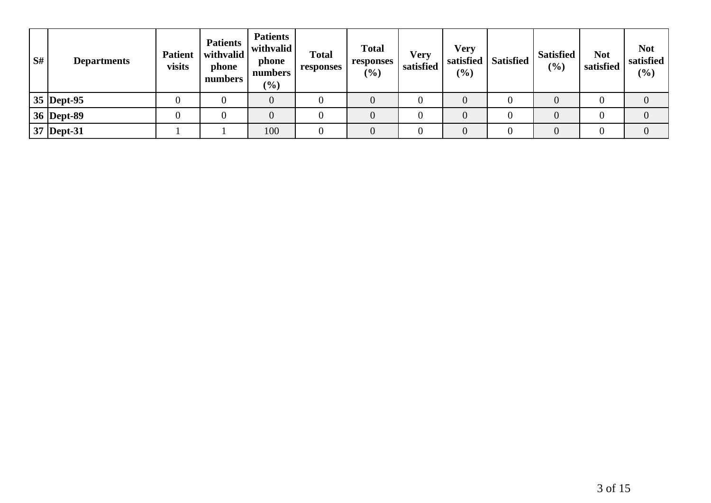| S# | <b>Departments</b> | <b>Patient</b><br>visits | <b>Patients</b><br>withvalid<br>phone<br>numbers | <b>Patients</b><br>withvalid<br>phone<br>numbers<br>$\frac{9}{6}$ | <b>Total</b><br>responses | <b>Total</b><br>responses<br>$(\%)$ | Very<br>satisfied | Very<br>(%) | satisfied   Satisfied | <b>Satisfied</b><br>(%) | <b>Not</b><br>satisfied | <b>Not</b><br>satisfied<br>(%) |
|----|--------------------|--------------------------|--------------------------------------------------|-------------------------------------------------------------------|---------------------------|-------------------------------------|-------------------|-------------|-----------------------|-------------------------|-------------------------|--------------------------------|
|    | 35 Dept-95         |                          |                                                  | $\overline{0}$                                                    |                           |                                     |                   |             |                       |                         |                         |                                |
|    | 36   Dept-89       |                          |                                                  |                                                                   |                           |                                     |                   |             |                       |                         |                         |                                |
|    | 37 Dept-31         |                          |                                                  | 100                                                               |                           |                                     |                   |             |                       |                         |                         |                                |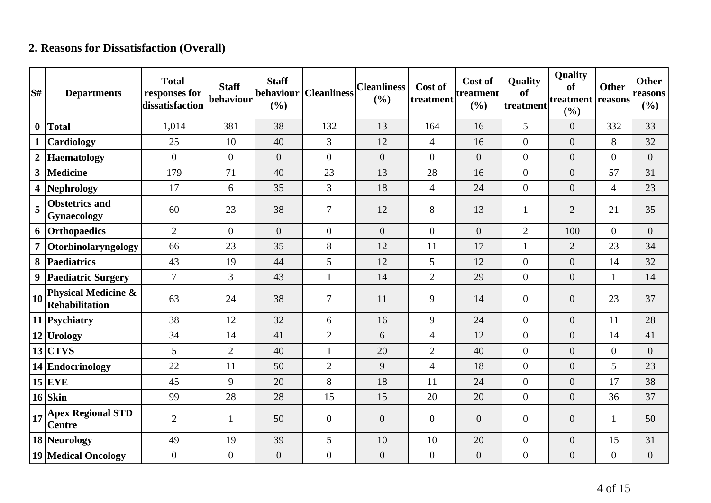## **2. Reasons for Dissatisfaction (Overall)**

| S#             | <b>Departments</b>                                      | <b>Total</b><br>responses for<br>dissatisfaction | <b>Staff</b><br>behaviour | <b>Staff</b><br>behaviour<br>(%) | <b>Cleanliness</b> | <b>Cleanliness</b><br>(%) | Cost of<br>treatment | Cost of<br>treatment<br>(%) | <b>Quality</b><br>of<br>treatment | Quality<br>of<br>treatment reasons<br>(%) | <b>Other</b>     | <b>Other</b><br>reasons<br>(%) |
|----------------|---------------------------------------------------------|--------------------------------------------------|---------------------------|----------------------------------|--------------------|---------------------------|----------------------|-----------------------------|-----------------------------------|-------------------------------------------|------------------|--------------------------------|
| $\bf{0}$       | <b>Total</b>                                            | 1,014                                            | 381                       | 38                               | 132                | 13                        | 164                  | 16                          | 5                                 | $\overline{0}$                            | 332              | 33                             |
| $\mathbf 1$    | <b>Cardiology</b>                                       | 25                                               | 10                        | 40                               | $\overline{3}$     | 12                        | $\overline{4}$       | 16                          | $\overline{0}$                    | $\overline{0}$                            | 8                | 32                             |
| $\overline{2}$ | <b>Haematology</b>                                      | $\Omega$                                         | $\overline{0}$            | $\overline{0}$                   | $\overline{0}$     | $\overline{0}$            | $\Omega$             | $\overline{0}$              | $\overline{0}$                    | $\overline{0}$                            | $\overline{0}$   | $\overline{0}$                 |
| 3              | <b>Medicine</b>                                         | 179                                              | 71                        | 40                               | 23                 | 13                        | 28                   | 16                          | $\mathbf{0}$                      | $\boldsymbol{0}$                          | 57               | 31                             |
| 4              | <b>Nephrology</b>                                       | 17                                               | 6                         | 35                               | 3                  | 18                        | $\overline{4}$       | 24                          | $\overline{0}$                    | $\overline{0}$                            | $\overline{4}$   | 23                             |
| 5              | <b>Obstetrics and</b><br><b>Gynaecology</b>             | 60                                               | 23                        | 38                               | $\overline{7}$     | 12                        | 8                    | 13                          |                                   | $\overline{2}$                            | 21               | 35                             |
|                | 6 Orthopaedics                                          | $\overline{2}$                                   | $\theta$                  | $\overline{0}$                   | $\overline{0}$     | $\overline{0}$            | $\overline{0}$       | $\overline{0}$              | $\overline{2}$                    | 100                                       | $\overline{0}$   | $\theta$                       |
| 7 <sup>1</sup> | Otorhinolaryngology                                     | 66                                               | 23                        | 35                               | 8                  | 12                        | 11                   | 17                          | $\mathbf{1}$                      | $\overline{2}$                            | 23               | 34                             |
| 8              | <b>Paediatrics</b>                                      | 43                                               | 19                        | 44                               | 5                  | 12                        | 5                    | 12                          | $\overline{0}$                    | $\overline{0}$                            | 14               | 32                             |
|                | 9 Paediatric Surgery                                    | $\overline{7}$                                   | $\overline{3}$            | 43                               | $\mathbf{1}$       | 14                        | $\overline{2}$       | 29                          | $\overline{0}$                    | $\overline{0}$                            | $\mathbf{1}$     | 14                             |
| 10             | <b>Physical Medicine &amp;</b><br><b>Rehabilitation</b> | 63                                               | 24                        | 38                               | $\overline{7}$     | 11                        | 9                    | 14                          | $\mathbf{0}$                      | $\boldsymbol{0}$                          | 23               | 37                             |
|                | 11 Psychiatry                                           | 38                                               | 12                        | 32                               | 6                  | 16                        | 9                    | 24                          | $\overline{0}$                    | $\overline{0}$                            | 11               | 28                             |
|                | 12 Urology                                              | 34                                               | 14                        | 41                               | $\overline{2}$     | 6                         | $\overline{4}$       | 12                          | $\overline{0}$                    | $\overline{0}$                            | 14               | 41                             |
|                | $13$ CTVS                                               | 5                                                | $\overline{2}$            | 40                               | 1                  | 20                        | $\overline{2}$       | 40                          | $\overline{0}$                    | $\overline{0}$                            | $\overline{0}$   | $\boldsymbol{0}$               |
|                | 14 Endocrinology                                        | 22                                               | 11                        | 50                               | $\overline{2}$     | 9                         | $\overline{4}$       | 18                          | $\overline{0}$                    | $\overline{0}$                            | 5                | 23                             |
|                | $15$ EYE                                                | 45                                               | 9                         | 20                               | 8                  | 18                        | 11                   | 24                          | $\overline{0}$                    | $\boldsymbol{0}$                          | 17               | 38                             |
|                | $16$ Skin                                               | 99                                               | 28                        | 28                               | 15                 | 15                        | 20                   | 20                          | $\overline{0}$                    | $\overline{0}$                            | 36               | 37                             |
| 17             | <b>Apex Regional STD</b><br><b>Centre</b>               | $\overline{2}$                                   | $\mathbf{1}$              | 50                               | $\overline{0}$     | $\overline{0}$            | $\overline{0}$       | $\overline{0}$              | $\overline{0}$                    | $\overline{0}$                            | 1                | 50                             |
|                | 18 Neurology                                            | 49                                               | 19                        | 39                               | 5                  | 10                        | 10                   | 20                          | $\overline{0}$                    | $\overline{0}$                            | 15               | 31                             |
|                | <b>19 Medical Oncology</b>                              | $\overline{0}$                                   | $\boldsymbol{0}$          | $\boldsymbol{0}$                 | $\overline{0}$     | $\boldsymbol{0}$          | $\mathbf{0}$         | $\boldsymbol{0}$            | $\boldsymbol{0}$                  | $\boldsymbol{0}$                          | $\boldsymbol{0}$ | $\boldsymbol{0}$               |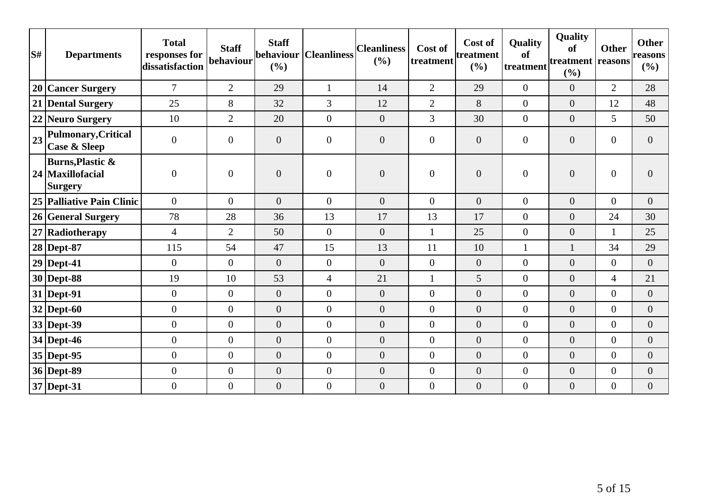| S# | <b>Departments</b>                                                | <b>Total</b><br>responses for<br>dissatisfaction | <b>Staff</b><br>behaviour | <b>Staff</b><br>behaviour<br>(%) | <b>Cleanliness</b> | <b>Cleanliness</b><br>(%) | Cost of<br>treatment | Cost of<br>treatment<br>(%) | <b>Quality</b><br>of<br>treatment | Quality<br>of<br>treatment reasons<br>(%) | <b>Other</b>     | <b>Other</b><br>reasons<br>(%) |
|----|-------------------------------------------------------------------|--------------------------------------------------|---------------------------|----------------------------------|--------------------|---------------------------|----------------------|-----------------------------|-----------------------------------|-------------------------------------------|------------------|--------------------------------|
|    | 20 Cancer Surgery                                                 | $\overline{7}$                                   | $\overline{2}$            | 29                               | $\mathbf{1}$       | 14                        | $\overline{2}$       | 29                          | $\overline{0}$                    | $\overline{0}$                            | $\overline{2}$   | 28                             |
|    | 21 Dental Surgery                                                 | 25                                               | 8                         | 32                               | $\overline{3}$     | 12                        | $\overline{2}$       | 8                           | $\overline{0}$                    | $\overline{0}$                            | 12               | 48                             |
|    | 22 Neuro Surgery                                                  | 10                                               | $\overline{2}$            | 20                               | $\overline{0}$     | $\boldsymbol{0}$          | 3                    | 30                          | $\overline{0}$                    | $\boldsymbol{0}$                          | 5                | 50                             |
| 23 | <b>Pulmonary, Critical</b><br>Case & Sleep                        | $\overline{0}$                                   | $\overline{0}$            | $\overline{0}$                   | $\overline{0}$     | $\boldsymbol{0}$          | $\overline{0}$       | $\overline{0}$              | $\overline{0}$                    | $\boldsymbol{0}$                          | $\overline{0}$   | $\overline{0}$                 |
|    | <b>Burns, Plastic &amp;</b><br>24 Maxillofacial<br><b>Surgery</b> | $\overline{0}$                                   | $\mathbf{0}$              | $\overline{0}$                   | $\overline{0}$     | $\overline{0}$            | $\overline{0}$       | $\boldsymbol{0}$            | $\overline{0}$                    | $\boldsymbol{0}$                          | $\overline{0}$   | $\overline{0}$                 |
|    | 25 Palliative Pain Clinic                                         | $\overline{0}$                                   | $\overline{0}$            | $\overline{0}$                   | $\overline{0}$     | $\theta$                  | $\overline{0}$       | $\overline{0}$              | $\overline{0}$                    | $\overline{0}$                            | $\overline{0}$   | $\overline{0}$                 |
|    | 26 General Surgery                                                | 78                                               | 28                        | 36                               | 13                 | 17                        | 13                   | 17                          | $\overline{0}$                    | $\overline{0}$                            | 24               | 30                             |
|    | 27 Radiotherapy                                                   | $\overline{4}$                                   | $\overline{2}$            | 50                               | $\overline{0}$     | $\overline{0}$            | 1                    | 25                          | $\overline{0}$                    | $\overline{0}$                            | $\mathbf{1}$     | 25                             |
|    | 28 Dept-87                                                        | 115                                              | 54                        | 47                               | 15                 | 13                        | 11                   | 10                          | $\mathbf{1}$                      | $\mathbf{1}$                              | 34               | 29                             |
|    | $29$ Dept-41                                                      | $\overline{0}$                                   | $\overline{0}$            | $\overline{0}$                   | $\overline{0}$     | $\overline{0}$            | $\overline{0}$       | $\boldsymbol{0}$            | $\overline{0}$                    | $\boldsymbol{0}$                          | $\overline{0}$   | $\overline{0}$                 |
|    | $30$ Dept-88                                                      | 19                                               | 10                        | 53                               | $\overline{4}$     | 21                        | 1                    | 5                           | $\overline{0}$                    | $\overline{0}$                            | $\overline{4}$   | 21                             |
|    | $31$ Dept-91                                                      | $\boldsymbol{0}$                                 | $\overline{0}$            | $\overline{0}$                   | $\overline{0}$     | $\boldsymbol{0}$          | $\overline{0}$       | $\overline{0}$              | $\overline{0}$                    | $\boldsymbol{0}$                          | $\boldsymbol{0}$ | $\overline{0}$                 |
|    | $32$ Dept-60                                                      | $\boldsymbol{0}$                                 | $\overline{0}$            | $\overline{0}$                   | $\overline{0}$     | $\boldsymbol{0}$          | $\overline{0}$       | $\overline{0}$              | $\overline{0}$                    | $\overline{0}$                            | $\overline{0}$   | $\overline{0}$                 |
|    | 33 Dept-39                                                        | $\overline{0}$                                   | $\overline{0}$            | $\overline{0}$                   | $\overline{0}$     | $\overline{0}$            | $\overline{0}$       | $\overline{0}$              | $\overline{0}$                    | $\overline{0}$                            | $\overline{0}$   | $\overline{0}$                 |
|    | 34 Dept-46                                                        | $\overline{0}$                                   | $\overline{0}$            | $\overline{0}$                   | $\overline{0}$     | $\overline{0}$            | $\overline{0}$       | $\overline{0}$              | $\overline{0}$                    | $\overline{0}$                            | $\overline{0}$   | $\overline{0}$                 |
|    | $35$ Dept-95                                                      | $\overline{0}$                                   | $\overline{0}$            | $\overline{0}$                   | $\overline{0}$     | $\boldsymbol{0}$          | $\overline{0}$       | $\theta$                    | $\overline{0}$                    | $\boldsymbol{0}$                          | $\overline{0}$   | $\overline{0}$                 |
|    | 36 Dept-89                                                        | $\overline{0}$                                   | $\overline{0}$            | $\overline{0}$                   | $\overline{0}$     | $\boldsymbol{0}$          | $\overline{0}$       | $\boldsymbol{0}$            | $\overline{0}$                    | $\boldsymbol{0}$                          | $\boldsymbol{0}$ | $\boldsymbol{0}$               |
|    | 37 Dept-31                                                        | $\overline{0}$                                   | $\mathbf{0}$              | $\overline{0}$                   | $\overline{0}$     | $\boldsymbol{0}$          | $\overline{0}$       | $\boldsymbol{0}$            | $\overline{0}$                    | $\boldsymbol{0}$                          | $\boldsymbol{0}$ | $\overline{0}$                 |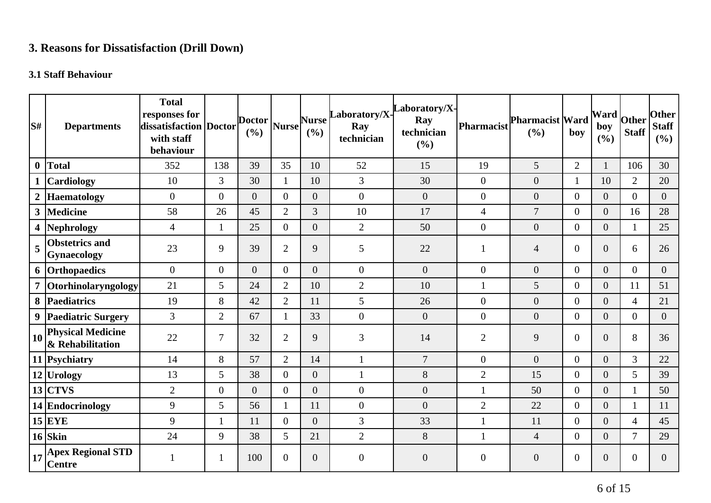# **3. Reasons for Dissatisfaction (Drill Down)**

## **3.1 Staff Behaviour**

| lS#              | <b>Departments</b>                                                          | <b>Total</b><br>responses for<br>dissatisfaction Doctor<br>with staff<br>behaviour |                  | <b>Doctor</b><br>(%) | Nurse          | <b>Nurse</b><br>(%) | Laboratory/X-<br>Ray<br>technician | aboratory/X-<br>Ray<br>technician<br>(%) | Pharmacist       | <b>Pharmacist Ward</b><br>(%) | boy              | Ward<br>boy<br>(%) | Other<br><b>Staff</b> | <b>Other</b><br><b>Staff</b><br>(%) |
|------------------|-----------------------------------------------------------------------------|------------------------------------------------------------------------------------|------------------|----------------------|----------------|---------------------|------------------------------------|------------------------------------------|------------------|-------------------------------|------------------|--------------------|-----------------------|-------------------------------------|
| $\boldsymbol{0}$ | Total                                                                       | 352                                                                                | 138              | 39                   | 35             | 10                  | 52                                 | 15                                       | 19               | 5                             | $\overline{2}$   | $\mathbf{1}$       | 106                   | 30                                  |
|                  | <b>Cardiology</b>                                                           | 10                                                                                 | $\overline{3}$   | 30                   | 1              | 10                  | 3                                  | 30                                       | $\overline{0}$   | $\boldsymbol{0}$              | 1                | 10                 | $\overline{2}$        | 20                                  |
| $\boldsymbol{2}$ | <b>Haematology</b>                                                          | $\boldsymbol{0}$                                                                   | $\boldsymbol{0}$ | $\overline{0}$       | $\overline{0}$ | $\overline{0}$      | $\boldsymbol{0}$                   | $\boldsymbol{0}$                         | $\boldsymbol{0}$ | $\boldsymbol{0}$              | $\boldsymbol{0}$ | $\boldsymbol{0}$   | $\overline{0}$        | $\boldsymbol{0}$                    |
| $\mathbf{3}$     | <b>Medicine</b>                                                             | 58                                                                                 | 26               | 45                   | $\overline{2}$ | $\overline{3}$      | 10                                 | 17                                       | $\overline{4}$   | $\overline{7}$                | $\overline{0}$   | $\overline{0}$     | 16                    | 28                                  |
|                  | 4 Nephrology                                                                | $\overline{4}$                                                                     |                  | 25                   | $\overline{0}$ | $\overline{0}$      | $\mathbf{2}$                       | 50                                       | $\overline{0}$   | $\boldsymbol{0}$              | $\overline{0}$   | $\overline{0}$     | 1                     | 25                                  |
| 5                | <b>Obstetrics and</b><br><b>Gynaecology</b>                                 | 23                                                                                 | 9                | 39                   | $\overline{2}$ | 9                   | 5                                  | 22                                       | 1                | $\overline{4}$                | $\mathbf{0}$     | $\overline{0}$     | 6                     | 26                                  |
|                  | 6 Orthopaedics                                                              | $\overline{0}$                                                                     | $\overline{0}$   | $\overline{0}$       | $\overline{0}$ | $\Omega$            | $\boldsymbol{0}$                   | $\overline{0}$                           | $\overline{0}$   | $\overline{0}$                | $\overline{0}$   | $\overline{0}$     | $\overline{0}$        | $\overline{0}$                      |
|                  | Otorhinolaryngology                                                         | 21                                                                                 | 5                | 24                   | $\overline{2}$ | 10                  | $\mathbf{2}$                       | 10                                       | $\mathbf{1}$     | 5                             | $\overline{0}$   | $\overline{0}$     | 11                    | 51                                  |
|                  | 8 Paediatrics                                                               | 19                                                                                 | 8                | 42                   | $\overline{2}$ | 11                  | 5                                  | 26                                       | $\boldsymbol{0}$ | $\boldsymbol{0}$              | $\overline{0}$   | $\overline{0}$     | $\overline{4}$        | 21                                  |
|                  | 9 Paediatric Surgery                                                        | 3                                                                                  | $\overline{2}$   | 67                   | 1              | 33                  | $\boldsymbol{0}$                   | $\overline{0}$                           | $\boldsymbol{0}$ | $\overline{0}$                | $\overline{0}$   | $\overline{0}$     | $\overline{0}$        | $\overline{0}$                      |
| 10               | <b>Physical Medicine</b><br>& Rehabilitation                                | 22                                                                                 | 7                | 32                   | $\overline{2}$ | 9                   | $\mathfrak{Z}$                     | 14                                       | $\mathbf{2}$     | 9                             | $\overline{0}$   | $\overline{0}$     | 8                     | 36                                  |
|                  | 11 Psychiatry                                                               | 14                                                                                 | 8                | 57                   | $\overline{2}$ | 14                  | $\mathbf{1}$                       | $\overline{7}$                           | $\overline{0}$   | $\overline{0}$                | $\overline{0}$   | $\overline{0}$     | 3                     | 22                                  |
|                  | 12 Urology                                                                  | 13                                                                                 | 5                | 38                   | $\Omega$       | $\overline{0}$      | $\mathbf{1}$                       | 8                                        | $\overline{2}$   | 15                            | $\overline{0}$   | $\overline{0}$     | 5                     | 39                                  |
|                  | $13$ CTVS                                                                   | $\overline{2}$                                                                     | $\overline{0}$   | $\overline{0}$       | $\Omega$       | $\overline{0}$      | $\mathbf{0}$                       | $\overline{0}$                           | 1                | 50                            | $\overline{0}$   | $\overline{0}$     | $\mathbf{1}$          | 50                                  |
|                  | 14 Endocrinology                                                            | 9                                                                                  | 5                | 56                   | $\mathbf{1}$   | 11                  | $\boldsymbol{0}$                   | $\overline{0}$                           | $\mathbf{2}$     | 22                            | $\overline{0}$   | $\overline{0}$     | $\mathbf{1}$          | 11                                  |
|                  | $15$ EYE                                                                    | 9                                                                                  | $\mathbf{1}$     | 11                   | $\overline{0}$ | $\overline{0}$      | 3                                  | 33                                       |                  | 11                            | $\overline{0}$   | $\overline{0}$     | 4                     | 45                                  |
|                  | $16$ Skin                                                                   | 24                                                                                 | 9                | 38                   | 5              | 21                  | $\overline{2}$                     | 8                                        | $\mathbf{1}$     | $\overline{4}$                | $\overline{0}$   | $\overline{0}$     | $\overline{7}$        | 29                                  |
|                  | $\left  \frac{1}{17} \right _0^{\text{Apez}}$ Regional STD<br><b>Centre</b> |                                                                                    | 1                | 100                  | $\overline{0}$ | $\overline{0}$      | $\overline{0}$                     | $\overline{0}$                           | $\overline{0}$   | $\overline{0}$                | $\mathbf{0}$     | $\overline{0}$     | $\theta$              | $\overline{0}$                      |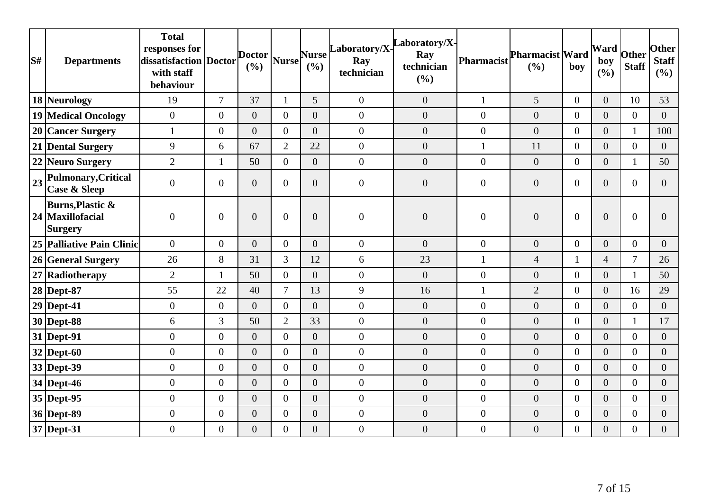| S# | <b>Departments</b>                                         | <b>Total</b><br>responses for<br>dissatisfaction   Doctor<br>with staff<br>behaviour |                  | <b>Doctor</b><br>(%) | <b>Nurse</b>   | <b>Nurse</b><br>(9/0) | Laboratory/X-<br>Ray<br>technician | aboratory/X-<br>Ray<br>technician<br>(%) | Pharmacist       | Pharmacist Ward<br>(%) | boy            | Ward<br>boy<br>(%) | Other<br><b>Staff</b> | <b>Other</b><br><b>Staff</b><br>(%) |
|----|------------------------------------------------------------|--------------------------------------------------------------------------------------|------------------|----------------------|----------------|-----------------------|------------------------------------|------------------------------------------|------------------|------------------------|----------------|--------------------|-----------------------|-------------------------------------|
|    | 18 Neurology                                               | 19                                                                                   | $\overline{7}$   | 37                   | 1              | 5                     | $\overline{0}$                     | $\overline{0}$                           | $\mathbf{1}$     | 5                      | $\overline{0}$ | $\overline{0}$     | 10                    | 53                                  |
|    | <b>19 Medical Oncology</b>                                 | $\boldsymbol{0}$                                                                     | $\overline{0}$   | $\overline{0}$       | $\theta$       | $\overline{0}$        | $\overline{0}$                     | $\overline{0}$                           | $\mathbf{0}$     | $\overline{0}$         | $\overline{0}$ | $\overline{0}$     | $\overline{0}$        | $\overline{0}$                      |
|    | 20 Cancer Surgery                                          | $\mathbf{1}$                                                                         | $\overline{0}$   | $\overline{0}$       | $\overline{0}$ | $\overline{0}$        | $\overline{0}$                     | $\overline{0}$                           | $\boldsymbol{0}$ | $\overline{0}$         | $\overline{0}$ | $\overline{0}$     | $\mathbf{1}$          | 100                                 |
|    | 21 Dental Surgery                                          | $\boldsymbol{9}$                                                                     | 6                | 67                   | $\overline{2}$ | 22                    | $\boldsymbol{0}$                   | $\boldsymbol{0}$                         | $\mathbf{1}$     | 11                     | $\overline{0}$ | $\overline{0}$     | $\theta$              | $\overline{0}$                      |
|    | 22 Neuro Surgery                                           | $\overline{2}$                                                                       | $\mathbf{1}$     | 50                   | $\overline{0}$ | $\overline{0}$        | $\overline{0}$                     | $\overline{0}$                           | $\overline{0}$   | $\overline{0}$         | $\overline{0}$ | $\overline{0}$     | $\mathbf{1}$          | 50                                  |
| 23 | <b>Pulmonary, Critical</b><br>Case & Sleep                 | $\overline{0}$                                                                       | $\overline{0}$   | $\overline{0}$       | $\overline{0}$ | $\overline{0}$        | $\boldsymbol{0}$                   | $\overline{0}$                           | $\boldsymbol{0}$ | $\boldsymbol{0}$       | $\overline{0}$ | $\overline{0}$     | $\overline{0}$        | $\overline{0}$                      |
|    | <b>Burns, Plastic &amp;</b><br>24 Maxillofacial<br>Surgery | $\boldsymbol{0}$                                                                     | $\overline{0}$   | $\overline{0}$       | $\overline{0}$ | $\overline{0}$        | $\boldsymbol{0}$                   | $\overline{0}$                           | $\boldsymbol{0}$ | $\boldsymbol{0}$       | $\overline{0}$ | $\overline{0}$     | $\overline{0}$        | 0                                   |
|    | 25 Palliative Pain Clinic                                  | $\overline{0}$                                                                       | $\overline{0}$   | $\overline{0}$       | $\theta$       | $\overline{0}$        | $\mathbf{0}$                       | $\overline{0}$                           | $\overline{0}$   | $\overline{0}$         | $\overline{0}$ | $\overline{0}$     | $\mathbf{0}$          | $\overline{0}$                      |
|    | 26 General Surgery                                         | 26                                                                                   | 8                | 31                   | 3              | 12                    | 6                                  | 23                                       | $\mathbf{1}$     | $\overline{4}$         | 1              | $\overline{4}$     | $\overline{7}$        | 26                                  |
|    | 27 Radiotherapy                                            | $\overline{2}$                                                                       | $\mathbf{1}$     | 50                   | $\overline{0}$ | $\overline{0}$        | $\overline{0}$                     | $\overline{0}$                           | $\boldsymbol{0}$ | $\boldsymbol{0}$       | $\overline{0}$ | $\overline{0}$     | $\mathbf{1}$          | 50                                  |
|    | 28 Dept-87                                                 | 55                                                                                   | 22               | 40                   | $\overline{7}$ | 13                    | 9                                  | 16                                       | $\mathbf{1}$     | $\overline{2}$         | $\overline{0}$ | $\overline{0}$     | 16                    | 29                                  |
|    | $29$ Dept-41                                               | $\overline{0}$                                                                       | $\overline{0}$   | $\overline{0}$       | $\theta$       | $\overline{0}$        | $\overline{0}$                     | $\overline{0}$                           | $\mathbf{0}$     | $\overline{0}$         | $\overline{0}$ | $\overline{0}$     | $\overline{0}$        | $\overline{0}$                      |
|    | 30 Dept-88                                                 | 6                                                                                    | 3                | 50                   | $\overline{2}$ | 33                    | $\boldsymbol{0}$                   | $\overline{0}$                           | $\overline{0}$   | $\boldsymbol{0}$       | $\Omega$       | $\overline{0}$     | $\mathbf{1}$          | 17                                  |
|    | $31$ Dept-91                                               | $\overline{0}$                                                                       | $\overline{0}$   | $\overline{0}$       | $\overline{0}$ | $\overline{0}$        | $\overline{0}$                     | $\overline{0}$                           | $\overline{0}$   | $\overline{0}$         | $\overline{0}$ | $\overline{0}$     | $\overline{0}$        | $\overline{0}$                      |
|    | $32$ Dept-60                                               | $\boldsymbol{0}$                                                                     | $\overline{0}$   | $\overline{0}$       | $\overline{0}$ | $\overline{0}$        | $\overline{0}$                     | $\overline{0}$                           | $\boldsymbol{0}$ | $\boldsymbol{0}$       | $\overline{0}$ | $\overline{0}$     | $\overline{0}$        | $\overline{0}$                      |
|    | 33 Dept-39                                                 | $\boldsymbol{0}$                                                                     | $\overline{0}$   | $\overline{0}$       | $\theta$       | $\overline{0}$        | $\overline{0}$                     | $\overline{0}$                           | $\boldsymbol{0}$ | $\boldsymbol{0}$       | $\overline{0}$ | $\overline{0}$     | $\theta$              | $\overline{0}$                      |
|    | 34 Dept-46                                                 | $\overline{0}$                                                                       | $\overline{0}$   | $\overline{0}$       | $\overline{0}$ | $\overline{0}$        | $\overline{0}$                     | $\overline{0}$                           | $\overline{0}$   | $\overline{0}$         | $\overline{0}$ | $\overline{0}$     | $\boldsymbol{0}$      | $\overline{0}$                      |
|    | 35 Dept-95                                                 | $\overline{0}$                                                                       | $\overline{0}$   | $\overline{0}$       | $\theta$       | $\overline{0}$        | $\overline{0}$                     | $\overline{0}$                           | $\boldsymbol{0}$ | $\overline{0}$         | $\Omega$       | $\overline{0}$     | $\theta$              | $\overline{0}$                      |
|    | 36 Dept-89                                                 | $\boldsymbol{0}$                                                                     | $\boldsymbol{0}$ | $\boldsymbol{0}$     | $\overline{0}$ | $\overline{0}$        | $\mathbf{0}$                       | $\boldsymbol{0}$                         | $\boldsymbol{0}$ | $\boldsymbol{0}$       | $\overline{0}$ | $\overline{0}$     | $\overline{0}$        | $\overline{0}$                      |
|    | $37$ Dept-31                                               | $\boldsymbol{0}$                                                                     | $\boldsymbol{0}$ | $\boldsymbol{0}$     | $\overline{0}$ | $\overline{0}$        | $\boldsymbol{0}$                   | $\overline{0}$                           | $\boldsymbol{0}$ | $\boldsymbol{0}$       | $\overline{0}$ | $\overline{0}$     | $\overline{0}$        | $\overline{0}$                      |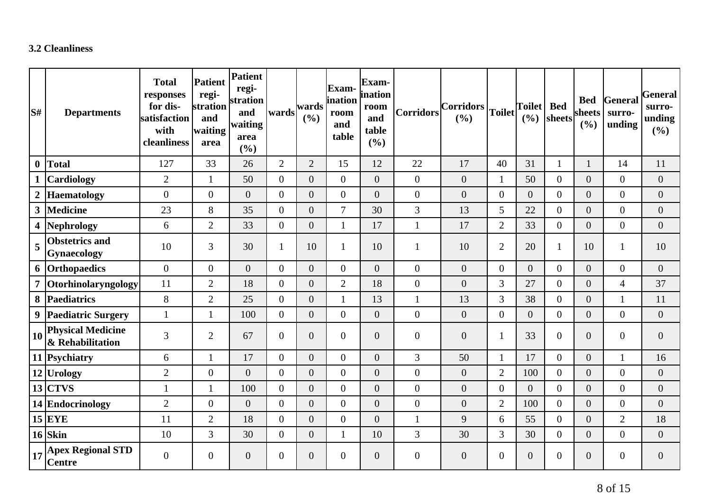### **3.2 Cleanliness**

| $\mathbf{S}^{\sharp}$ | <b>Departments</b>                           | <b>Total</b><br>responses<br>for dis-<br>satisfaction<br>with<br>cleanliness | <b>Patient</b><br>regi-<br>stration<br>and<br>waiting<br>area | Patient<br>regi-<br>stration<br>and<br>waiting<br>area<br>(%) | wards          | wards<br>(9/0) | <b>Exam-</b><br>ination<br>room<br>and<br>table | Exam-<br><i>ination</i><br>room<br>and<br>table<br>(%) | <b>Corridors</b> | Corridors<br>(9/0) | Toilet           | <b>Toilet</b><br>(9/0) | <b>Bed</b><br>sheets | <b>Bed</b><br>sheets<br>(%) | General<br>surro-<br>unding | <b>General</b><br>surro-<br>unding<br>(%) |
|-----------------------|----------------------------------------------|------------------------------------------------------------------------------|---------------------------------------------------------------|---------------------------------------------------------------|----------------|----------------|-------------------------------------------------|--------------------------------------------------------|------------------|--------------------|------------------|------------------------|----------------------|-----------------------------|-----------------------------|-------------------------------------------|
| $\boldsymbol{0}$      | <b>Total</b>                                 | 127                                                                          | 33                                                            | 26                                                            | $\overline{2}$ | $\overline{2}$ | 15                                              | 12                                                     | 22               | 17                 | 40               | 31                     | $\mathbf{1}$         | $\mathbf{1}$                | 14                          | 11                                        |
|                       | Cardiology                                   | $\overline{2}$                                                               | 1                                                             | 50                                                            | $\overline{0}$ | $\overline{0}$ | $\overline{0}$                                  | $\overline{0}$                                         | $\theta$         | $\overline{0}$     | $\mathbf{1}$     | 50                     | $\overline{0}$       | $\overline{0}$              | $\overline{0}$              | $\boldsymbol{0}$                          |
| $\boldsymbol{2}$      | <b>Haematology</b>                           | $\overline{0}$                                                               | $\overline{0}$                                                | $\overline{0}$                                                | $\overline{0}$ | $\overline{0}$ | $\overline{0}$                                  | $\overline{0}$                                         | $\mathbf{0}$     | $\overline{0}$     | $\boldsymbol{0}$ | $\overline{0}$         | $\overline{0}$       | $\overline{0}$              | $\overline{0}$              | $\boldsymbol{0}$                          |
| $\mathbf{3}$          | <b>Medicine</b>                              | 23                                                                           | 8                                                             | 35                                                            | $\overline{0}$ | $\overline{0}$ | $\overline{7}$                                  | 30                                                     | $\mathfrak{Z}$   | 13                 | 5                | 22                     | $\overline{0}$       | $\overline{0}$              | $\overline{0}$              | $\boldsymbol{0}$                          |
| 4                     | Nephrology                                   | 6                                                                            | $\overline{2}$                                                | 33                                                            | $\overline{0}$ | $\overline{0}$ | 1                                               | 17                                                     | $\mathbf{1}$     | 17                 | $\overline{2}$   | 33                     | $\overline{0}$       | $\overline{0}$              | $\overline{0}$              | $\boldsymbol{0}$                          |
| 5                     | <b>Obstetrics and</b><br>Gynaecology         | 10                                                                           | $\overline{3}$                                                | 30                                                            | $\mathbf{1}$   | 10             | $\mathbf{1}$                                    | 10                                                     | $\mathbf{1}$     | 10                 | $\overline{2}$   | 20                     | $\mathbf{1}$         | 10                          | 1                           | 10                                        |
|                       | 6 Orthopaedics                               | $\overline{0}$                                                               | $\overline{0}$                                                | $\overline{0}$                                                | $\overline{0}$ | $\overline{0}$ | $\overline{0}$                                  | $\boldsymbol{0}$                                       | $\boldsymbol{0}$ | $\overline{0}$     | $\overline{0}$   | $\overline{0}$         | $\overline{0}$       | $\boldsymbol{0}$            | $\overline{0}$              | $\boldsymbol{0}$                          |
| $\overline{7}$        | Otorhinolaryngology                          | 11                                                                           | $\overline{2}$                                                | 18                                                            | $\Omega$       | $\overline{0}$ | $\overline{2}$                                  | 18                                                     | $\boldsymbol{0}$ | $\overline{0}$     | 3                | 27                     | $\overline{0}$       | $\overline{0}$              | $\overline{4}$              | 37                                        |
| 8                     | Paediatrics                                  | 8                                                                            | $\overline{2}$                                                | 25                                                            | $\overline{0}$ | $\overline{0}$ | $\mathbf{1}$                                    | 13                                                     | $\mathbf{1}$     | 13                 | 3                | 38                     | $\overline{0}$       | $\overline{0}$              | $\mathbf{1}$                | 11                                        |
| 9                     | <b>Paediatric Surgery</b>                    | $\mathbf{1}$                                                                 | 1                                                             | 100                                                           | $\overline{0}$ | $\overline{0}$ | $\overline{0}$                                  | $\overline{0}$                                         | $\mathbf{0}$     | $\overline{0}$     | $\boldsymbol{0}$ | $\overline{0}$         | $\overline{0}$       | $\overline{0}$              | $\overline{0}$              | $\boldsymbol{0}$                          |
| 10                    | <b>Physical Medicine</b><br>& Rehabilitation | 3                                                                            | $\overline{2}$                                                | 67                                                            | $\overline{0}$ | $\overline{0}$ | $\overline{0}$                                  | $\boldsymbol{0}$                                       | $\boldsymbol{0}$ | $\overline{0}$     | $\mathbf{1}$     | 33                     | $\overline{0}$       | $\boldsymbol{0}$            | $\overline{0}$              | $\boldsymbol{0}$                          |
|                       | 11 Psychiatry                                | 6                                                                            | 1                                                             | 17                                                            | $\overline{0}$ | $\overline{0}$ | $\overline{0}$                                  | $\overline{0}$                                         | 3                | 50                 | $\mathbf{1}$     | 17                     | $\overline{0}$       | $\overline{0}$              |                             | 16                                        |
|                       | 12 Urology                                   | $\overline{2}$                                                               | $\overline{0}$                                                | $\overline{0}$                                                | $\overline{0}$ | $\overline{0}$ | $\boldsymbol{0}$                                | $\overline{0}$                                         | $\boldsymbol{0}$ | $\overline{0}$     | $\overline{2}$   | 100                    | $\overline{0}$       | $\overline{0}$              | $\overline{0}$              | $\overline{0}$                            |
|                       | $13$ CTVS                                    | $\mathbf{1}$                                                                 | 1                                                             | 100                                                           | $\overline{0}$ | $\overline{0}$ | $\overline{0}$                                  | $\overline{0}$                                         | $\mathbf{0}$     | $\overline{0}$     | $\boldsymbol{0}$ | $\theta$               | $\overline{0}$       | $\overline{0}$              | $\overline{0}$              | $\boldsymbol{0}$                          |
|                       | 14 Endocrinology                             | $\overline{2}$                                                               | $\overline{0}$                                                | $\overline{0}$                                                | $\overline{0}$ | $\overline{0}$ | $\overline{0}$                                  | $\boldsymbol{0}$                                       | $\overline{0}$   | $\boldsymbol{0}$   | $\overline{2}$   | 100                    | $\overline{0}$       | $\overline{0}$              | $\overline{0}$              | $\boldsymbol{0}$                          |
|                       | $15$ EYE                                     | 11                                                                           | $\overline{2}$                                                | 18                                                            | $\overline{0}$ | $\overline{0}$ | $\overline{0}$                                  | $\overline{0}$                                         | $\mathbf{1}$     | 9                  | 6                | 55                     | $\overline{0}$       | $\overline{0}$              | $\overline{2}$              | 18                                        |
|                       | $16$ Skin                                    | 10                                                                           | 3                                                             | 30                                                            | $\overline{0}$ | $\overline{0}$ | 1                                               | 10                                                     | 3                | 30                 | 3                | 30                     | $\overline{0}$       | $\overline{0}$              | $\overline{0}$              | $\boldsymbol{0}$                          |
| 17                    | <b>Apex Regional STD</b><br><b>Centre</b>    | $\overline{0}$                                                               | $\overline{0}$                                                | $\overline{0}$                                                | $\overline{0}$ | $\overline{0}$ | $\overline{0}$                                  | $\overline{0}$                                         | $\boldsymbol{0}$ | $\overline{0}$     | $\boldsymbol{0}$ | $\overline{0}$         | $\overline{0}$       | $\boldsymbol{0}$            | $\overline{0}$              | $\overline{0}$                            |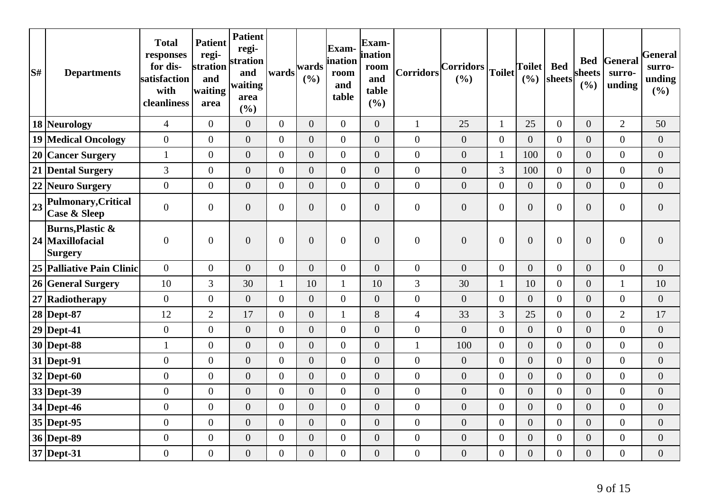| S# | <b>Departments</b>                                         | <b>Total</b><br>responses<br>for dis-<br>satisfaction<br>with<br>cleanliness | <b>Patient</b><br>regi-<br>stration<br>and<br>waiting<br>area | <b>Patient</b><br>regi-<br>stration<br>and<br>waiting<br>area<br>(%) | wards          | wards<br>(%)     | Exam-<br>ination<br>room<br>and<br>table | Exam-<br>ination<br>room<br>and<br>table<br>(%) | Corridors        | $ Corridors _{Toilet} $<br>(%) |                  | <b>Toilet</b><br>(%) | <b>Bed</b><br>sheets | sheets<br>(%)    | <b>Bed</b> General<br>surro-<br>unding | General<br>surro-<br>unding<br>$($ %) |
|----|------------------------------------------------------------|------------------------------------------------------------------------------|---------------------------------------------------------------|----------------------------------------------------------------------|----------------|------------------|------------------------------------------|-------------------------------------------------|------------------|--------------------------------|------------------|----------------------|----------------------|------------------|----------------------------------------|---------------------------------------|
|    | 18 Neurology                                               | $\overline{4}$                                                               | $\overline{0}$                                                | $\boldsymbol{0}$                                                     | $\overline{0}$ | $\overline{0}$   | $\overline{0}$                           | $\overline{0}$                                  | $\mathbf{1}$     | 25                             | $\mathbf{1}$     | 25                   | $\overline{0}$       | $\overline{0}$   | $\overline{2}$                         | 50                                    |
|    | <b>19 Medical Oncology</b>                                 | $\overline{0}$                                                               | $\overline{0}$                                                | $\overline{0}$                                                       | $\overline{0}$ | $\overline{0}$   | $\boldsymbol{0}$                         | $\overline{0}$                                  | $\overline{0}$   | $\boldsymbol{0}$               | $\boldsymbol{0}$ | $\overline{0}$       | $\overline{0}$       | $\overline{0}$   | $\boldsymbol{0}$                       | $\mathbf{0}$                          |
|    | 20 Cancer Surgery                                          | $\mathbf{1}$                                                                 | $\overline{0}$                                                | $\overline{0}$                                                       | $\overline{0}$ | $\overline{0}$   | $\overline{0}$                           | $\overline{0}$                                  | $\mathbf{0}$     | $\overline{0}$                 | $\mathbf{1}$     | 100                  | $\overline{0}$       | $\overline{0}$   | $\overline{0}$                         | $\boldsymbol{0}$                      |
|    | 21 Dental Surgery                                          | 3                                                                            | $\overline{0}$                                                | $\boldsymbol{0}$                                                     | $\overline{0}$ | $\overline{0}$   | $\overline{0}$                           | $\overline{0}$                                  | $\mathbf{0}$     | $\overline{0}$                 | 3                | 100                  | $\overline{0}$       | $\overline{0}$   | $\boldsymbol{0}$                       | $\boldsymbol{0}$                      |
|    | 22 Neuro Surgery                                           | $\overline{0}$                                                               | $\overline{0}$                                                | $\overline{0}$                                                       | $\overline{0}$ | $\overline{0}$   | $\boldsymbol{0}$                         | $\overline{0}$                                  | $\boldsymbol{0}$ | $\boldsymbol{0}$               | $\boldsymbol{0}$ | $\overline{0}$       | $\overline{0}$       | $\boldsymbol{0}$ | $\overline{0}$                         | $\overline{0}$                        |
| 23 | Pulmonary, Critical<br><b>Case &amp; Sleep</b>             | $\overline{0}$                                                               | $\overline{0}$                                                | $\boldsymbol{0}$                                                     | $\overline{0}$ | $\boldsymbol{0}$ | $\boldsymbol{0}$                         | $\boldsymbol{0}$                                | $\boldsymbol{0}$ | $\boldsymbol{0}$               | $\boldsymbol{0}$ | $\overline{0}$       | $\overline{0}$       | $\boldsymbol{0}$ | $\boldsymbol{0}$                       | $\overline{0}$                        |
|    | <b>Burns, Plastic &amp;</b><br>24 Maxillofacial<br>Surgery | $\mathbf{0}$                                                                 | $\overline{0}$                                                | $\overline{0}$                                                       | $\overline{0}$ | $\overline{0}$   | $\boldsymbol{0}$                         | $\overline{0}$                                  | $\boldsymbol{0}$ | $\overline{0}$                 | $\mathbf{0}$     | $\overline{0}$       | $\overline{0}$       | $\overline{0}$   | $\boldsymbol{0}$                       | $\overline{0}$                        |
|    | 25 Palliative Pain Clinic                                  | $\overline{0}$                                                               | $\boldsymbol{0}$                                              | $\boldsymbol{0}$                                                     | $\overline{0}$ | $\boldsymbol{0}$ | $\boldsymbol{0}$                         | $\boldsymbol{0}$                                | $\overline{0}$   | $\boldsymbol{0}$               | $\overline{0}$   | $\overline{0}$       | $\overline{0}$       | $\overline{0}$   | $\boldsymbol{0}$                       | $\boldsymbol{0}$                      |
|    | 26 General Surgery                                         | 10                                                                           | 3                                                             | 30                                                                   | $\mathbf{1}$   | 10               | 1                                        | 10                                              | 3                | 30                             | $\mathbf{1}$     | 10                   | $\overline{0}$       | $\boldsymbol{0}$ | $\mathbf{1}$                           | 10                                    |
|    | 27 Radiotherapy                                            | $\overline{0}$                                                               | $\overline{0}$                                                | $\overline{0}$                                                       | $\overline{0}$ | $\overline{0}$   | $\overline{0}$                           | $\overline{0}$                                  | $\mathbf{0}$     | $\overline{0}$                 | $\overline{0}$   | $\overline{0}$       | $\overline{0}$       | $\overline{0}$   | $\overline{0}$                         | $\overline{0}$                        |
|    | 28 Dept-87                                                 | 12                                                                           | $\overline{2}$                                                | 17                                                                   | $\overline{0}$ | $\boldsymbol{0}$ | 1                                        | 8                                               | $\overline{4}$   | 33                             | 3                | 25                   | $\overline{0}$       | $\boldsymbol{0}$ | $\overline{2}$                         | 17                                    |
|    | $29$ Dept-41                                               | $\mathbf{0}$                                                                 | $\overline{0}$                                                | $\boldsymbol{0}$                                                     | $\overline{0}$ | $\overline{0}$   | $\overline{0}$                           | $\overline{0}$                                  | $\mathbf{0}$     | $\overline{0}$                 | $\boldsymbol{0}$ | $\overline{0}$       | $\overline{0}$       | $\boldsymbol{0}$ | $\boldsymbol{0}$                       | $\overline{0}$                        |
|    | 30 Dept-88                                                 | $\mathbf{1}$                                                                 | $\overline{0}$                                                | $\overline{0}$                                                       | $\overline{0}$ | $\overline{0}$   | $\overline{0}$                           | $\overline{0}$                                  | $\mathbf{1}$     | 100                            | $\boldsymbol{0}$ | $\overline{0}$       | $\overline{0}$       | $\overline{0}$   | $\overline{0}$                         | $\overline{0}$                        |
|    | $31$ Dept-91                                               | $\overline{0}$                                                               | $\overline{0}$                                                | $\boldsymbol{0}$                                                     | $\overline{0}$ | $\boldsymbol{0}$ | $\boldsymbol{0}$                         | $\overline{0}$                                  | $\overline{0}$   | $\boldsymbol{0}$               | $\boldsymbol{0}$ | $\overline{0}$       | $\overline{0}$       | $\boldsymbol{0}$ | $\boldsymbol{0}$                       | $\boldsymbol{0}$                      |
|    | $32$ Dept-60                                               | $\overline{0}$                                                               | $\overline{0}$                                                | $\overline{0}$                                                       | $\overline{0}$ | $\overline{0}$   | $\overline{0}$                           | $\overline{0}$                                  | $\mathbf{0}$     | $\overline{0}$                 | $\mathbf{0}$     | $\overline{0}$       | $\overline{0}$       | $\overline{0}$   | $\boldsymbol{0}$                       | $\boldsymbol{0}$                      |
|    | 33 Dept-39                                                 | $\overline{0}$                                                               | $\overline{0}$                                                | $\overline{0}$                                                       | $\overline{0}$ | $\overline{0}$   | $\overline{0}$                           | $\overline{0}$                                  | $\overline{0}$   | $\overline{0}$                 | $\boldsymbol{0}$ | $\overline{0}$       | $\overline{0}$       | $\overline{0}$   | $\overline{0}$                         | $\overline{0}$                        |
|    | 34 Dept-46                                                 | $\overline{0}$                                                               | $\overline{0}$                                                | $\overline{0}$                                                       | $\overline{0}$ | $\overline{0}$   | $\boldsymbol{0}$                         | $\overline{0}$                                  | $\overline{0}$   | $\overline{0}$                 | $\boldsymbol{0}$ | $\overline{0}$       | $\overline{0}$       | $\overline{0}$   | $\boldsymbol{0}$                       | $\boldsymbol{0}$                      |
|    | 35 Dept-95                                                 | $\overline{0}$                                                               | $\overline{0}$                                                | $\overline{0}$                                                       | $\overline{0}$ | $\overline{0}$   | $\overline{0}$                           | $\overline{0}$                                  | $\overline{0}$   | $\overline{0}$                 | $\boldsymbol{0}$ | $\overline{0}$       | $\overline{0}$       | $\overline{0}$   | $\overline{0}$                         | $\overline{0}$                        |
|    | 36 Dept-89                                                 | $\overline{0}$                                                               | $\overline{0}$                                                | $\overline{0}$                                                       | $\overline{0}$ | $\overline{0}$   | $\overline{0}$                           | $\overline{0}$                                  | $\mathbf{0}$     | $\overline{0}$                 | $\boldsymbol{0}$ | $\overline{0}$       | $\overline{0}$       | $\overline{0}$   | $\overline{0}$                         | $\overline{0}$                        |
|    | 37 Dept-31                                                 | $\boldsymbol{0}$                                                             | $\overline{0}$                                                | $\boldsymbol{0}$                                                     | $\overline{0}$ | $\boldsymbol{0}$ | $\boldsymbol{0}$                         | $\boldsymbol{0}$                                | $\boldsymbol{0}$ | $\boldsymbol{0}$               | $\boldsymbol{0}$ | $\boldsymbol{0}$     | $\overline{0}$       | $\overline{0}$   | $\boldsymbol{0}$                       | $\mathbf{0}$                          |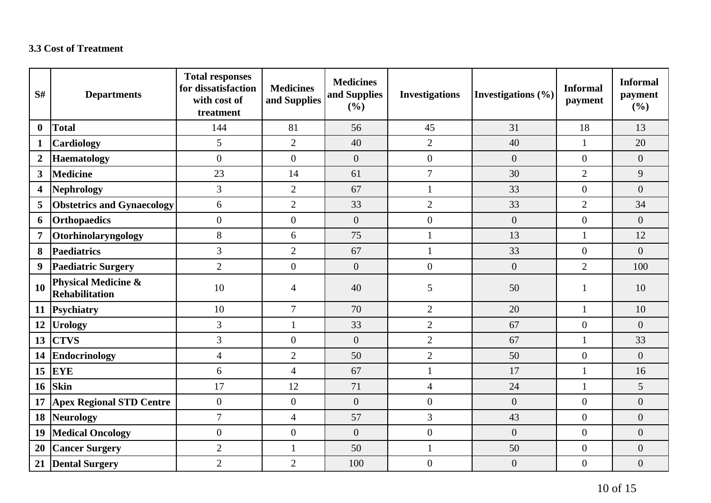## **3.3 Cost of Treatment**

| S#                      | <b>Departments</b>                                      | <b>Total responses</b><br>for dissatisfaction<br>with cost of<br>treatment | <b>Medicines</b><br>and Supplies | <b>Medicines</b><br>and Supplies<br>(%) | <b>Investigations</b> | Investigations $(\% )$ | <b>Informal</b><br>payment | <b>Informal</b><br>payment<br>(%) |
|-------------------------|---------------------------------------------------------|----------------------------------------------------------------------------|----------------------------------|-----------------------------------------|-----------------------|------------------------|----------------------------|-----------------------------------|
| $\bf{0}$                | <b>Total</b>                                            | 144                                                                        | 81                               | 56                                      | 45                    | 31                     | 18                         | 13                                |
| $\mathbf{1}$            | Cardiology                                              | 5                                                                          | $\overline{2}$                   | 40                                      | $\overline{2}$        | 40                     | $\mathbf{1}$               | 20                                |
| $\boldsymbol{2}$        | <b>Haematology</b>                                      | $\boldsymbol{0}$                                                           | $\overline{0}$                   | $\boldsymbol{0}$                        | $\overline{0}$        | $\overline{0}$         | $\theta$                   | $\overline{0}$                    |
| $\overline{\mathbf{3}}$ | <b>Medicine</b>                                         | 23                                                                         | 14                               | 61                                      | $\overline{7}$        | 30                     | $\overline{2}$             | 9                                 |
| 4                       | <b>Nephrology</b>                                       | $\overline{3}$                                                             | $\overline{2}$                   | 67                                      | $\mathbf{1}$          | 33                     | $\overline{0}$             | $\overline{0}$                    |
| 5                       | <b>Obstetrics and Gynaecology</b>                       | 6                                                                          | $\overline{2}$                   | 33                                      | $\overline{2}$        | 33                     | $\overline{2}$             | 34                                |
| 6                       | <b>Orthopaedics</b>                                     | $\boldsymbol{0}$                                                           | $\boldsymbol{0}$                 | $\boldsymbol{0}$                        | $\boldsymbol{0}$      | $\boldsymbol{0}$       | $\overline{0}$             | $\overline{0}$                    |
| $\overline{7}$          | Otorhinolaryngology                                     | 8                                                                          | 6                                | 75                                      | $\mathbf{1}$          | 13                     | $\mathbf{1}$               | 12                                |
| 8                       | <b>Paediatrics</b>                                      | 3                                                                          | $\overline{2}$                   | 67                                      | $\mathbf{1}$          | 33                     | $\overline{0}$             | $\overline{0}$                    |
| 9                       | <b>Paediatric Surgery</b>                               | $\overline{2}$                                                             | $\overline{0}$                   | $\overline{0}$                          | $\overline{0}$        | $\overline{0}$         | $\overline{2}$             | 100                               |
| 10                      | <b>Physical Medicine &amp;</b><br><b>Rehabilitation</b> | 10                                                                         | 4                                | 40                                      | 5                     | 50                     |                            | 10                                |
| <b>11</b>               | Psychiatry                                              | 10                                                                         | $\overline{7}$                   | 70                                      | $\overline{2}$        | 20                     | 1                          | 10                                |
| 12                      | <b>Urology</b>                                          | $\overline{3}$                                                             | $\mathbf{1}$                     | 33                                      | $\overline{2}$        | 67                     | $\overline{0}$             | $\overline{0}$                    |
| 13                      | <b>CTVS</b>                                             | $\mathfrak{Z}$                                                             | $\overline{0}$                   | $\boldsymbol{0}$                        | $\overline{2}$        | 67                     | 1                          | 33                                |
| 14                      | <b>Endocrinology</b>                                    | $\overline{4}$                                                             | $\overline{2}$                   | 50                                      | $\overline{2}$        | 50                     | $\overline{0}$             | $\overline{0}$                    |
| 15                      | <b>EYE</b>                                              | 6                                                                          | $\overline{4}$                   | 67                                      | $\mathbf{1}$          | 17                     | $\mathbf{1}$               | 16                                |
| 16                      | <b>Skin</b>                                             | 17                                                                         | 12                               | 71                                      | $\overline{4}$        | 24                     | $\mathbf{1}$               | 5                                 |
| 17                      | <b>Apex Regional STD Centre</b>                         | $\boldsymbol{0}$                                                           | $\overline{0}$                   | $\overline{0}$                          | $\overline{0}$        | $\overline{0}$         | $\overline{0}$             | $\overline{0}$                    |
| 18                      | <b>Neurology</b>                                        | $\overline{7}$                                                             | $\overline{4}$                   | 57                                      | $\overline{3}$        | 43                     | $\mathbf{0}$               | $\overline{0}$                    |
| 19                      | <b>Medical Oncology</b>                                 | $\boldsymbol{0}$                                                           | $\overline{0}$                   | $\boldsymbol{0}$                        | $\boldsymbol{0}$      | $\overline{0}$         | $\overline{0}$             | $\overline{0}$                    |
| 20                      | <b>Cancer Surgery</b>                                   | $\overline{2}$                                                             | $\mathbf{1}$                     | 50                                      | $\mathbf{1}$          | 50                     | $\overline{0}$             | $\overline{0}$                    |
| 21                      | <b>Dental Surgery</b>                                   | $\overline{2}$                                                             | $\overline{2}$                   | 100                                     | $\boldsymbol{0}$      | $\overline{0}$         | $\overline{0}$             | $\overline{0}$                    |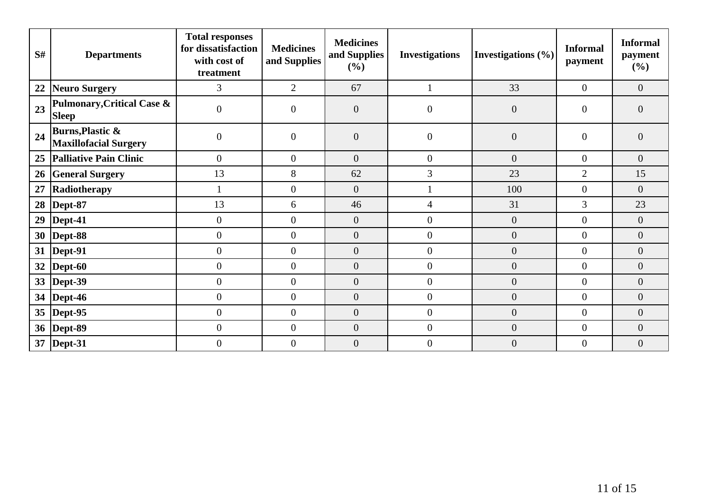| S# | <b>Departments</b>                                          | <b>Total responses</b><br>for dissatisfaction<br>with cost of<br>treatment | <b>Medicines</b><br>and Supplies | <b>Medicines</b><br>and Supplies<br>$(\%)$ | <b>Investigations</b> | Investigations (%) | <b>Informal</b><br>payment | <b>Informal</b><br>payment<br>(%) |
|----|-------------------------------------------------------------|----------------------------------------------------------------------------|----------------------------------|--------------------------------------------|-----------------------|--------------------|----------------------------|-----------------------------------|
| 22 | Neuro Surgery                                               | 3                                                                          | $\overline{2}$                   | 67                                         |                       | 33                 | $\mathbf{0}$               | $\overline{0}$                    |
| 23 | <b>Pulmonary, Critical Case &amp;</b><br><b>Sleep</b>       | $\boldsymbol{0}$                                                           | $\overline{0}$                   | $\boldsymbol{0}$                           | $\overline{0}$        | $\overline{0}$     | $\theta$                   | $\overline{0}$                    |
| 24 | <b>Burns, Plastic &amp;</b><br><b>Maxillofacial Surgery</b> | $\boldsymbol{0}$                                                           | $\theta$                         | $\boldsymbol{0}$                           | $\overline{0}$        | $\overline{0}$     | $\overline{0}$             | $\overline{0}$                    |
| 25 | Palliative Pain Clinic                                      | $\boldsymbol{0}$                                                           | $\theta$                         | $\boldsymbol{0}$                           | $\mathbf{0}$          | $\overline{0}$     | $\overline{0}$             | $\overline{0}$                    |
| 26 | <b>General Surgery</b>                                      | 13                                                                         | 8                                | 62                                         | $\mathfrak{Z}$        | 23                 | $\overline{2}$             | 15                                |
| 27 | Radiotherapy                                                |                                                                            | $\overline{0}$                   | $\boldsymbol{0}$                           |                       | 100                | $\overline{0}$             | $\boldsymbol{0}$                  |
| 28 | Dept-87                                                     | 13                                                                         | 6                                | 46                                         | $\overline{4}$        | 31                 | 3                          | 23                                |
| 29 | Dept-41                                                     | $\boldsymbol{0}$                                                           | $\Omega$                         | $\boldsymbol{0}$                           | $\overline{0}$        | $\overline{0}$     | $\theta$                   | $\overline{0}$                    |
| 30 | Dept-88                                                     | $\boldsymbol{0}$                                                           | $\overline{0}$                   | $\boldsymbol{0}$                           | $\overline{0}$        | $\overline{0}$     | $\overline{0}$             | $\overline{0}$                    |
|    | 31   Dept-91                                                | $\boldsymbol{0}$                                                           | $\mathbf{0}$                     | $\boldsymbol{0}$                           | $\mathbf{0}$          | $\boldsymbol{0}$   | $\overline{0}$             | $\overline{0}$                    |
| 32 | $\vert$ Dept-60                                             | $\boldsymbol{0}$                                                           | $\theta$                         | $\boldsymbol{0}$                           | $\mathbf{0}$          | $\overline{0}$     | $\theta$                   | $\overline{0}$                    |
|    | 33  Dept-39                                                 | $\boldsymbol{0}$                                                           | $\overline{0}$                   | $\boldsymbol{0}$                           | $\mathbf{0}$          | $\overline{0}$     | $\theta$                   | $\overline{0}$                    |
| 34 | $\vert$ Dept-46                                             | $\overline{0}$                                                             | $\Omega$                         | $\boldsymbol{0}$                           | $\mathbf{0}$          | $\overline{0}$     | $\overline{0}$             | $\overline{0}$                    |
|    | 35   Dept-95                                                | $\boldsymbol{0}$                                                           | $\overline{0}$                   | $\overline{0}$                             | $\overline{0}$        | $\overline{0}$     | $\mathbf{0}$               | $\overline{0}$                    |
|    | 36   Dept-89                                                | $\boldsymbol{0}$                                                           | $\overline{0}$                   | $\boldsymbol{0}$                           | $\mathbf{0}$          | $\boldsymbol{0}$   | $\mathbf{0}$               | $\overline{0}$                    |
|    | 37   Dept-31                                                | $\overline{0}$                                                             | $\overline{0}$                   | $\boldsymbol{0}$                           | $\overline{0}$        | $\overline{0}$     | $\boldsymbol{0}$           | $\overline{0}$                    |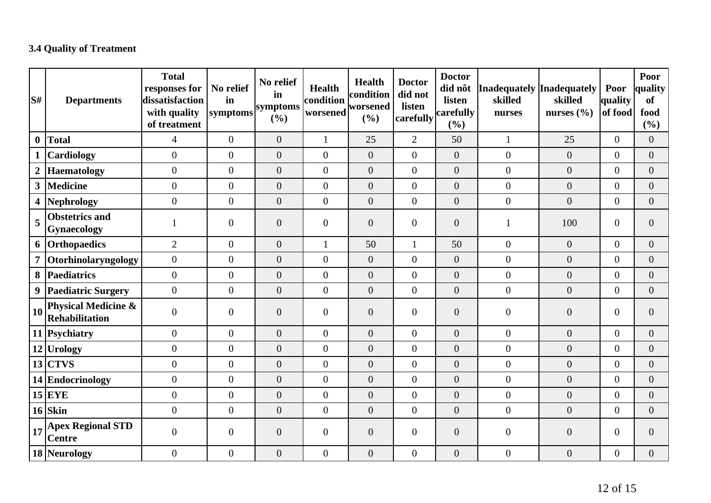## **3.4 Quality of Treatment**

| S#               | <b>Departments</b>                               | <b>Total</b><br>responses for<br>dissatisfaction<br>with quality<br>of treatment | No relief<br>in<br>symptoms | No relief<br>in<br>symptoms<br>(%) | <b>Health</b><br>condition<br>worsened | Health<br>condition<br>worsened<br>(%) | <b>Doctor</b><br>did not<br>listen<br>carefully | <b>Doctor</b><br>did nôt<br>listen<br>carefully<br>(%) | Inadequately Inadequately<br>skilled<br>nurses | skilled<br>nurses $(\% )$ | Poor<br>quality<br>of food | Poor<br>quality<br><b>of</b><br>food<br>$(\%)$ |
|------------------|--------------------------------------------------|----------------------------------------------------------------------------------|-----------------------------|------------------------------------|----------------------------------------|----------------------------------------|-------------------------------------------------|--------------------------------------------------------|------------------------------------------------|---------------------------|----------------------------|------------------------------------------------|
| $\boldsymbol{0}$ | Total                                            | $\overline{4}$                                                                   | $\overline{0}$              | $\boldsymbol{0}$                   | $\mathbf{1}$                           | 25                                     | $\overline{2}$                                  | 50                                                     | $\mathbf{1}$                                   | 25                        | $\overline{0}$             | $\overline{0}$                                 |
|                  | <b>Cardiology</b>                                | $\overline{0}$                                                                   | $\overline{0}$              | $\overline{0}$                     | $\overline{0}$                         | $\overline{0}$                         | $\overline{0}$                                  | $\overline{0}$                                         | $\overline{0}$                                 | $\overline{0}$            | $\overline{0}$             | $\overline{0}$                                 |
| $\boldsymbol{2}$ | Haematology                                      | $\boldsymbol{0}$                                                                 | $\boldsymbol{0}$            | $\overline{0}$                     | $\overline{0}$                         | $\overline{0}$                         | $\overline{0}$                                  | $\overline{0}$                                         | $\boldsymbol{0}$                               | $\overline{0}$            | $\overline{0}$             | $\overline{0}$                                 |
|                  | 3 Medicine                                       | $\boldsymbol{0}$                                                                 | $\boldsymbol{0}$            | $\boldsymbol{0}$                   | $\mathbf{0}$                           | $\overline{0}$                         | $\overline{0}$                                  | $\boldsymbol{0}$                                       | $\boldsymbol{0}$                               | $\overline{0}$            | $\overline{0}$             | $\boldsymbol{0}$                               |
|                  | 4 Nephrology                                     | $\boldsymbol{0}$                                                                 | $\overline{0}$              | $\overline{0}$                     | $\mathbf{0}$                           | $\overline{0}$                         | $\overline{0}$                                  | $\boldsymbol{0}$                                       | $\boldsymbol{0}$                               | $\overline{0}$            | $\overline{0}$             | $\overline{0}$                                 |
| 5                | <b>Obstetrics and</b><br>Gynaecology             |                                                                                  | $\boldsymbol{0}$            | $\boldsymbol{0}$                   | $\mathbf{0}$                           | $\overline{0}$                         | $\overline{0}$                                  | $\overline{0}$                                         | $\mathbf{1}$                                   | 100                       | $\overline{0}$             | $\overline{0}$                                 |
|                  | 6 Orthopaedics                                   | $\overline{2}$                                                                   | $\overline{0}$              | $\overline{0}$                     | 1                                      | 50                                     | $\mathbf{1}$                                    | 50                                                     | $\boldsymbol{0}$                               | $\overline{0}$            | $\overline{0}$             | $\overline{0}$                                 |
|                  | 7 Otorhinolaryngology                            | $\boldsymbol{0}$                                                                 | $\boldsymbol{0}$            | $\boldsymbol{0}$                   | $\mathbf{0}$                           | $\overline{0}$                         | $\overline{0}$                                  | $\overline{0}$                                         | $\boldsymbol{0}$                               | $\overline{0}$            | $\overline{0}$             | $\overline{0}$                                 |
|                  | 8   Paediatrics                                  | $\overline{0}$                                                                   | $\overline{0}$              | $\overline{0}$                     | $\overline{0}$                         | $\overline{0}$                         | $\overline{0}$                                  | $\boldsymbol{0}$                                       | $\boldsymbol{0}$                               | $\overline{0}$            | $\boldsymbol{0}$           | $\overline{0}$                                 |
|                  | 9 Paediatric Surgery                             | $\overline{0}$                                                                   | $\boldsymbol{0}$            | $\boldsymbol{0}$                   | $\boldsymbol{0}$                       | $\overline{0}$                         | $\overline{0}$                                  | $\boldsymbol{0}$                                       | $\overline{0}$                                 | $\overline{0}$            | $\boldsymbol{0}$           | $\overline{0}$                                 |
| 10 <sup>1</sup>  | <b>Physical Medicine &amp;</b><br>Rehabilitation | $\overline{0}$                                                                   | $\overline{0}$              | $\overline{0}$                     | $\mathbf{0}$                           | $\overline{0}$                         | $\overline{0}$                                  | $\overline{0}$                                         | $\overline{0}$                                 | $\overline{0}$            | $\overline{0}$             | $\overline{0}$                                 |
|                  | 11 Psychiatry                                    | $\boldsymbol{0}$                                                                 | $\mathbf{0}$                | $\boldsymbol{0}$                   | $\mathbf{0}$                           | $\overline{0}$                         | $\overline{0}$                                  | $\overline{0}$                                         | $\overline{0}$                                 | $\overline{0}$            | $\overline{0}$             | $\overline{0}$                                 |
|                  | $12$ Urology                                     | $\boldsymbol{0}$                                                                 | $\overline{0}$              | $\overline{0}$                     | $\mathbf{0}$                           | $\overline{0}$                         | $\overline{0}$                                  | $\boldsymbol{0}$                                       | $\boldsymbol{0}$                               | $\overline{0}$            | $\overline{0}$             | $\boldsymbol{0}$                               |
|                  | $13$ CTVS                                        | $\boldsymbol{0}$                                                                 | $\boldsymbol{0}$            | $\boldsymbol{0}$                   | $\boldsymbol{0}$                       | $\boldsymbol{0}$                       | $\overline{0}$                                  | $\boldsymbol{0}$                                       | $\overline{0}$                                 | $\overline{0}$            | $\boldsymbol{0}$           | $\boldsymbol{0}$                               |
|                  | 14 Endocrinology                                 | $\boldsymbol{0}$                                                                 | $\boldsymbol{0}$            | $\boldsymbol{0}$                   | $\boldsymbol{0}$                       | $\boldsymbol{0}$                       | $\overline{0}$                                  | $\boldsymbol{0}$                                       | $\boldsymbol{0}$                               | $\overline{0}$            | $\boldsymbol{0}$           | $\boldsymbol{0}$                               |
|                  | $15$ EYE                                         | $\overline{0}$                                                                   | $\mathbf{0}$                | $\boldsymbol{0}$                   | $\boldsymbol{0}$                       | $\overline{0}$                         | $\overline{0}$                                  | $\overline{0}$                                         | $\boldsymbol{0}$                               | $\overline{0}$            | $\overline{0}$             | $\boldsymbol{0}$                               |
|                  | $16$ Skin                                        | $\boldsymbol{0}$                                                                 | $\boldsymbol{0}$            | $\boldsymbol{0}$                   | $\boldsymbol{0}$                       | $\boldsymbol{0}$                       | $\overline{0}$                                  | $\boldsymbol{0}$                                       | $\boldsymbol{0}$                               | $\overline{0}$            | $\boldsymbol{0}$           | $\overline{0}$                                 |
| 17               | <b>Apex Regional STD</b><br><b>Centre</b>        | $\overline{0}$                                                                   | $\boldsymbol{0}$            | $\overline{0}$                     | $\boldsymbol{0}$                       | $\mathbf{0}$                           | $\overline{0}$                                  | $\overline{0}$                                         | $\overline{0}$                                 | $\overline{0}$            | $\overline{0}$             | $\overline{0}$                                 |
|                  | 18 Neurology                                     | $\overline{0}$                                                                   | $\boldsymbol{0}$            | $\boldsymbol{0}$                   | $\overline{0}$                         | $\boldsymbol{0}$                       | $\overline{0}$                                  | $\overline{0}$                                         | $\overline{0}$                                 | $\overline{0}$            | $\overline{0}$             | $\overline{0}$                                 |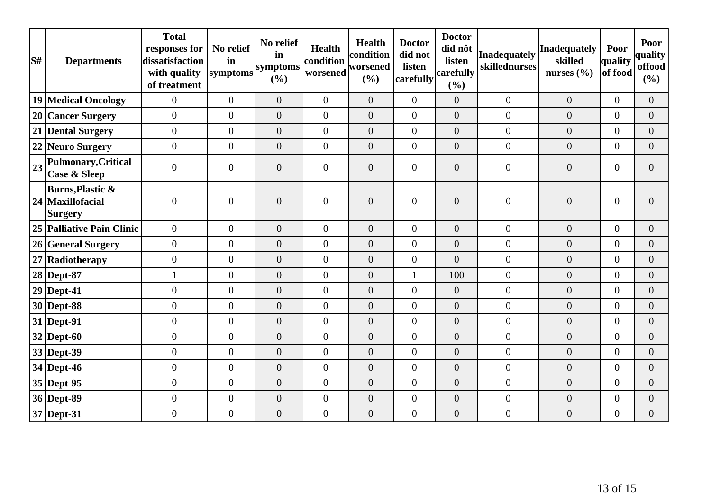| S# | <b>Departments</b>                                                | <b>Total</b><br>responses for<br>dissatisfaction<br>with quality<br>of treatment | No relief<br>in<br>symptoms | No relief<br>in<br>symptoms<br>(%) | <b>Health</b><br>condition<br>worsened | <b>Health</b><br>condition<br>worsened<br>(%) | <b>Doctor</b><br>did not<br>listen<br>carefully | <b>Doctor</b><br>did nôt<br>listen<br>carefully<br>(%) | <b>Inadequately</b><br>skillednurses | <b>Inadequately</b><br>skilled<br>nurses $(\% )$ | Poor<br>quality<br>of food | Poor<br>quality<br>offood<br>$($ %) |
|----|-------------------------------------------------------------------|----------------------------------------------------------------------------------|-----------------------------|------------------------------------|----------------------------------------|-----------------------------------------------|-------------------------------------------------|--------------------------------------------------------|--------------------------------------|--------------------------------------------------|----------------------------|-------------------------------------|
|    | 19 Medical Oncology                                               | $\overline{0}$                                                                   | $\overline{0}$              | $\overline{0}$                     | $\overline{0}$                         | $\overline{0}$                                | $\overline{0}$                                  | $\overline{0}$                                         | $\boldsymbol{0}$                     | $\overline{0}$                                   | $\overline{0}$             | $\overline{0}$                      |
|    | 20 Cancer Surgery                                                 | $\overline{0}$                                                                   | $\overline{0}$              | $\overline{0}$                     | $\overline{0}$                         | $\overline{0}$                                | $\overline{0}$                                  | $\overline{0}$                                         | $\overline{0}$                       | $\overline{0}$                                   | $\overline{0}$             | $\overline{0}$                      |
|    | 21 Dental Surgery                                                 | $\overline{0}$                                                                   | $\overline{0}$              | $\overline{0}$                     | $\overline{0}$                         | $\overline{0}$                                | $\overline{0}$                                  | $\overline{0}$                                         | $\overline{0}$                       | $\overline{0}$                                   | $\Omega$                   | $\overline{0}$                      |
|    | 22 Neuro Surgery                                                  | $\overline{0}$                                                                   | $\boldsymbol{0}$            | $\boldsymbol{0}$                   | $\overline{0}$                         | $\overline{0}$                                | $\overline{0}$                                  | $\overline{0}$                                         | $\boldsymbol{0}$                     | $\overline{0}$                                   | $\overline{0}$             | $\overline{0}$                      |
| 23 | Pulmonary, Critical<br><b>Case &amp; Sleep</b>                    | $\overline{0}$                                                                   | $\overline{0}$              | $\overline{0}$                     | $\overline{0}$                         | $\overline{0}$                                | $\overline{0}$                                  | $\overline{0}$                                         | $\overline{0}$                       | $\overline{0}$                                   | $\overline{0}$             | $\Omega$                            |
|    | <b>Burns, Plastic &amp;</b><br>24 Maxillofacial<br><b>Surgery</b> | $\overline{0}$                                                                   | $\overline{0}$              | $\overline{0}$                     | $\overline{0}$                         | $\overline{0}$                                | $\overline{0}$                                  | $\overline{0}$                                         | $\overline{0}$                       | $\overline{0}$                                   | $\overline{0}$             | $\Omega$                            |
|    | 25 Palliative Pain Clinic                                         | $\overline{0}$                                                                   | $\boldsymbol{0}$            | $\overline{0}$                     | $\overline{0}$                         | $\overline{0}$                                | $\overline{0}$                                  | $\overline{0}$                                         | $\mathbf{0}$                         | $\overline{0}$                                   | $\overline{0}$             | $\overline{0}$                      |
|    | 26 General Surgery                                                | $\overline{0}$                                                                   | $\overline{0}$              | $\overline{0}$                     | $\overline{0}$                         | $\overline{0}$                                | $\overline{0}$                                  | $\overline{0}$                                         | $\overline{0}$                       | $\overline{0}$                                   | $\Omega$                   | $\Omega$                            |
|    | 27 Radiotherapy                                                   | $\overline{0}$                                                                   | $\overline{0}$              | $\overline{0}$                     | $\overline{0}$                         | $\overline{0}$                                | $\overline{0}$                                  | $\overline{0}$                                         | $\boldsymbol{0}$                     | $\boldsymbol{0}$                                 | $\overline{0}$             | $\Omega$                            |
|    | 28 Dept-87                                                        |                                                                                  | $\overline{0}$              | $\overline{0}$                     | $\overline{0}$                         | $\boldsymbol{0}$                              |                                                 | 100                                                    | $\boldsymbol{0}$                     | $\boldsymbol{0}$                                 | $\overline{0}$             | $\overline{0}$                      |
|    | $29$ Dept-41                                                      | $\overline{0}$                                                                   | $\boldsymbol{0}$            | $\boldsymbol{0}$                   | $\overline{0}$                         | $\boldsymbol{0}$                              | $\overline{0}$                                  | $\overline{0}$                                         | $\boldsymbol{0}$                     | $\boldsymbol{0}$                                 | $\overline{0}$             | $\overline{0}$                      |
|    | $30$ Dept-88                                                      | $\overline{0}$                                                                   | $\overline{0}$              | $\overline{0}$                     | $\overline{0}$                         | $\overline{0}$                                | $\overline{0}$                                  | $\overline{0}$                                         | $\boldsymbol{0}$                     | $\overline{0}$                                   | $\overline{0}$             | $\Omega$                            |
|    | $31$ Dept-91                                                      | $\overline{0}$                                                                   | $\overline{0}$              | $\overline{0}$                     | $\overline{0}$                         | $\overline{0}$                                | $\overline{0}$                                  | $\overline{0}$                                         | $\boldsymbol{0}$                     | $\overline{0}$                                   | $\overline{0}$             | $\overline{0}$                      |
|    | $32$ Dept-60                                                      | $\overline{0}$                                                                   | $\overline{0}$              | $\overline{0}$                     | $\overline{0}$                         | $\overline{0}$                                | $\overline{0}$                                  | $\overline{0}$                                         | $\boldsymbol{0}$                     | $\overline{0}$                                   | $\overline{0}$             | $\overline{0}$                      |
|    | 33 Dept-39                                                        | $\overline{0}$                                                                   | $\overline{0}$              | $\overline{0}$                     | $\overline{0}$                         | $\overline{0}$                                | $\overline{0}$                                  | $\overline{0}$                                         | $\boldsymbol{0}$                     | $\overline{0}$                                   | $\Omega$                   | $\overline{0}$                      |
|    | 34 Dept-46                                                        | $\overline{0}$                                                                   | $\boldsymbol{0}$            | $\boldsymbol{0}$                   | $\overline{0}$                         | $\overline{0}$                                | $\overline{0}$                                  | $\overline{0}$                                         | $\overline{0}$                       | $\overline{0}$                                   | $\overline{0}$             | $\overline{0}$                      |
|    | 35 Dept-95                                                        | $\overline{0}$                                                                   | $\overline{0}$              | $\overline{0}$                     | $\overline{0}$                         | $\overline{0}$                                | $\overline{0}$                                  | $\overline{0}$                                         | $\boldsymbol{0}$                     | $\overline{0}$                                   | $\Omega$                   | $\overline{0}$                      |
|    | 36 Dept-89                                                        | $\overline{0}$                                                                   | $\boldsymbol{0}$            | $\boldsymbol{0}$                   | $\overline{0}$                         | $\overline{0}$                                | $\overline{0}$                                  | $\overline{0}$                                         | $\boldsymbol{0}$                     | $\overline{0}$                                   | $\overline{0}$             | $\overline{0}$                      |
|    | 37 Dept-31                                                        | $\overline{0}$                                                                   | $\boldsymbol{0}$            | $\boldsymbol{0}$                   | $\boldsymbol{0}$                       | $\boldsymbol{0}$                              | $\overline{0}$                                  | $\overline{0}$                                         | $\boldsymbol{0}$                     | $\boldsymbol{0}$                                 | $\boldsymbol{0}$           | $\overline{0}$                      |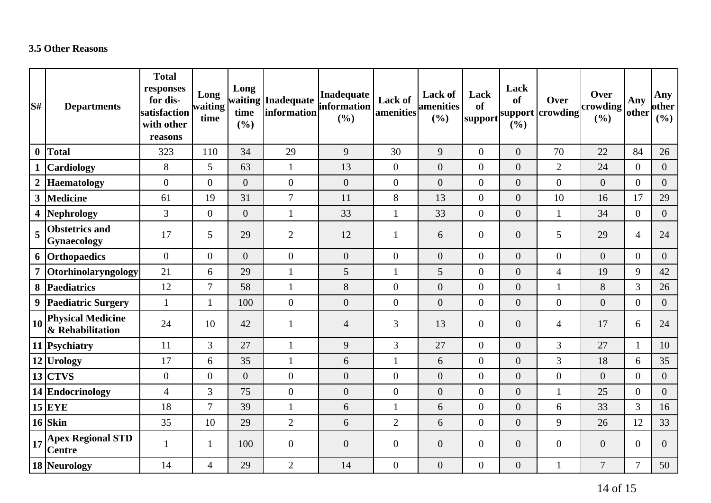## **3.5 Other Reasons**

| S#               | <b>Departments</b>                           | <b>Total</b><br>responses<br>for dis-<br>satisfaction<br>with other<br>reasons | Long<br>waiting<br>time | Long<br>time<br>(%) | waiting Inadequate<br>information | Inadequate<br>information<br>(%) | Lack of<br>amenities | Lack of<br>amenities<br>(%) | Lack<br>of<br> support | Lack<br><b>of</b><br>(%) | Over<br>support crowding | Over<br>crowding<br>(%) | Any<br>other     | Any<br>other<br>(%) |
|------------------|----------------------------------------------|--------------------------------------------------------------------------------|-------------------------|---------------------|-----------------------------------|----------------------------------|----------------------|-----------------------------|------------------------|--------------------------|--------------------------|-------------------------|------------------|---------------------|
| $\boldsymbol{0}$ | <b>Total</b>                                 | 323                                                                            | 110                     | 34                  | 29                                | 9                                | 30                   | 9                           | $\overline{0}$         | $\overline{0}$           | 70                       | 22                      | 84               | 26                  |
| $\mathbf{1}$     | <b>Cardiology</b>                            | 8                                                                              | 5                       | 63                  | $\mathbf{1}$                      | 13                               | $\boldsymbol{0}$     | $\overline{0}$              | $\overline{0}$         | $\overline{0}$           | $\overline{2}$           | 24                      | $\overline{0}$   | $\overline{0}$      |
| $\boldsymbol{2}$ | <b>Haematology</b>                           | $\overline{0}$                                                                 | $\overline{0}$          | $\overline{0}$      | $\overline{0}$                    | $\boldsymbol{0}$                 | $\boldsymbol{0}$     | $\overline{0}$              | $\overline{0}$         | $\overline{0}$           | $\overline{0}$           | $\overline{0}$          | $\overline{0}$   | $\overline{0}$      |
| $\mathbf{3}$     | Medicine                                     | 61                                                                             | 19                      | 31                  | $\overline{7}$                    | 11                               | $8\,$                | 13                          | $\overline{0}$         | $\overline{0}$           | 10                       | 16                      | 17               | 29                  |
|                  | 4 Nephrology                                 | 3                                                                              | $\overline{0}$          | $\overline{0}$      | $\mathbf{1}$                      | 33                               | $\mathbf{1}$         | 33                          | $\overline{0}$         | $\overline{0}$           | $\mathbf{1}$             | 34                      | $\overline{0}$   | $\overline{0}$      |
| 5                | <b>Obstetrics and</b><br>Gynaecology         | 17                                                                             | 5                       | 29                  | $\overline{2}$                    | 12                               | 1                    | 6                           | $\overline{0}$         | $\boldsymbol{0}$         | 5                        | 29                      | $\overline{4}$   | 24                  |
|                  | 6 Orthopaedics                               | $\overline{0}$                                                                 | $\overline{0}$          | $\overline{0}$      | $\overline{0}$                    | $\overline{0}$                   | $\overline{0}$       | $\overline{0}$              | $\overline{0}$         | $\overline{0}$           | $\overline{0}$           | $\overline{0}$          | $\overline{0}$   | $\overline{0}$      |
| $\overline{7}$   | Otorhinolaryngology                          | 21                                                                             | 6                       | 29                  |                                   | 5                                | $\mathbf{1}$         | 5                           | $\overline{0}$         | $\overline{0}$           | $\overline{4}$           | 19                      | 9                | 42                  |
|                  | 8 Paediatrics                                | 12                                                                             | 7                       | 58                  | $\mathbf{1}$                      | $8\,$                            | $\boldsymbol{0}$     | $\boldsymbol{0}$            | $\overline{0}$         | $\overline{0}$           | $\mathbf{1}$             | 8                       | 3                | 26                  |
| 9                | <b>Paediatric Surgery</b>                    | $\mathbf{1}$                                                                   | $\mathbf{1}$            | 100                 | $\overline{0}$                    | $\boldsymbol{0}$                 | $\boldsymbol{0}$     | $\overline{0}$              | $\boldsymbol{0}$       | $\overline{0}$           | $\theta$                 | $\overline{0}$          | $\overline{0}$   | $\overline{0}$      |
| <b>10</b>        | <b>Physical Medicine</b><br>& Rehabilitation | 24                                                                             | 10                      | 42                  | 1                                 | $\overline{4}$                   | 3                    | 13                          | $\overline{0}$         | $\boldsymbol{0}$         | $\overline{4}$           | 17                      | 6                | 24                  |
|                  | 11 Psychiatry                                | 11                                                                             | $\overline{3}$          | 27                  | $\mathbf{1}$                      | $\mathbf{9}$                     | $\overline{3}$       | 27                          | $\overline{0}$         | $\overline{0}$           | $\overline{3}$           | 27                      | $\mathbf{1}$     | 10                  |
|                  | 12 Urology                                   | 17                                                                             | 6                       | 35                  |                                   | 6                                | $\mathbf{1}$         | 6                           | $\overline{0}$         | $\overline{0}$           | 3                        | 18                      | 6                | 35                  |
|                  | $13$ CTVS                                    | $\overline{0}$                                                                 | $\boldsymbol{0}$        | $\overline{0}$      | $\boldsymbol{0}$                  | $\boldsymbol{0}$                 | $\boldsymbol{0}$     | $\overline{0}$              | $\overline{0}$         | $\overline{0}$           | $\overline{0}$           | $\overline{0}$          | $\boldsymbol{0}$ | $\overline{0}$      |
|                  | 14 Endocrinology                             | $\overline{4}$                                                                 | 3                       | 75                  | $\overline{0}$                    | $\boldsymbol{0}$                 | $\boldsymbol{0}$     | $\overline{0}$              | $\overline{0}$         | $\overline{0}$           | $\mathbf{1}$             | 25                      | $\overline{0}$   | $\overline{0}$      |
|                  | $15$ EYE                                     | 18                                                                             | $\tau$                  | 39                  |                                   | 6                                | $\mathbf{1}$         | 6                           | $\overline{0}$         | $\overline{0}$           | 6                        | 33                      | 3                | 16                  |
|                  | $16$ Skin                                    | 35                                                                             | 10                      | 29                  | $\overline{2}$                    | $6\,$                            | $\mathbf{2}$         | 6                           | $\overline{0}$         | $\overline{0}$           | 9                        | 26                      | 12               | 33                  |
| 17               | <b>Apex Regional STD</b><br><b>Centre</b>    | $\mathbf{1}$                                                                   | 1                       | 100                 | $\boldsymbol{0}$                  | $\boldsymbol{0}$                 | $\boldsymbol{0}$     | $\overline{0}$              | $\overline{0}$         | $\overline{0}$           | $\overline{0}$           | $\overline{0}$          | $\overline{0}$   | $\overline{0}$      |
|                  | 18 Neurology                                 | 14                                                                             | $\overline{4}$          | 29                  | $\overline{2}$                    | 14                               | $\boldsymbol{0}$     | $\overline{0}$              | $\overline{0}$         | $\boldsymbol{0}$         | $\mathbf{1}$             | $\overline{7}$          | $\overline{7}$   | 50                  |